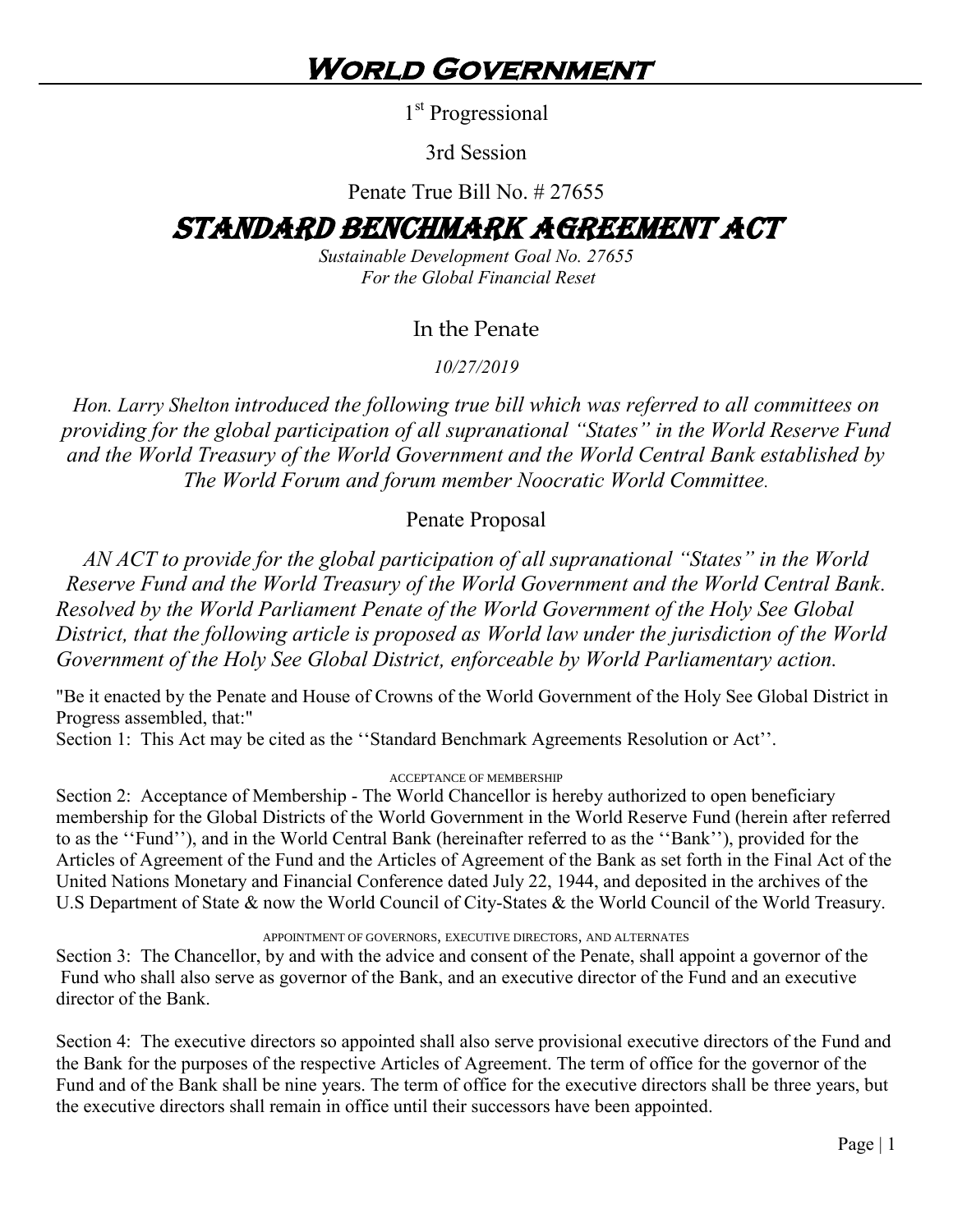1<sup>st</sup> Progressional

3rd Session

Penate True Bill No. # 27655

# STANDARD BENCHMARK AGREEMENT ACT

*Sustainable Development Goal No. 27655 For the Global Financial Reset*

# In the Penate

*10/27/2019*

*Hon. Larry Shelton introduced the following true bill which was referred to all committees on providing for the global participation of all supranational "States" in the World Reserve Fund and the World Treasury of the World Government and the World Central Bank established by The World Forum and forum member Noocratic World Committee.*

# Penate Proposal

*AN ACT to provide for the global participation of all supranational "States" in the World Reserve Fund and the World Treasury of the World Government and the World Central Bank. Resolved by the World Parliament Penate of the World Government of the Holy See Global District, that the following article is proposed as World law under the jurisdiction of the World Government of the Holy See Global District, enforceable by World Parliamentary action.*

"Be it enacted by the Penate and House of Crowns of the World Government of the Holy See Global District in Progress assembled, that:"

Section 1: This Act may be cited as the "Standard Benchmark Agreements Resolution or Act".

#### ACCEPTANCE OF MEMBERSHIP

Section 2: Acceptance of Membership - The World Chancellor is hereby authorized to open beneficiary membership for the Global Districts of the World Government in the World Reserve Fund (herein after referred to as the "Fund"), and in the World Central Bank (hereinafter referred to as the "Bank"), provided for the Articles of Agreement of the Fund and the Articles of Agreement of the Bank as set forth in the Final Act of the United Nations Monetary and Financial Conference dated July 22, 1944, and deposited in the archives of the U.S Department of State & now the World Council of City-States & the World Council of the World Treasury.

APPOINTMENT OF GOVERNORS, EXECUTIVE DIRECTORS, AND ALTERNATES

Section 3: The Chancellor, by and with the advice and consent of the Penate, shall appoint a governor of the Fund who shall also serve as governor of the Bank, and an executive director of the Fund and an executive director of the Bank.

Section 4: The executive directors so appointed shall also serve provisional executive directors of the Fund and the Bank for the purposes of the respective Articles of Agreement. The term of office for the governor of the Fund and of the Bank shall be nine years. The term of office for the executive directors shall be three years, but the executive directors shall remain in office until their successors have been appointed.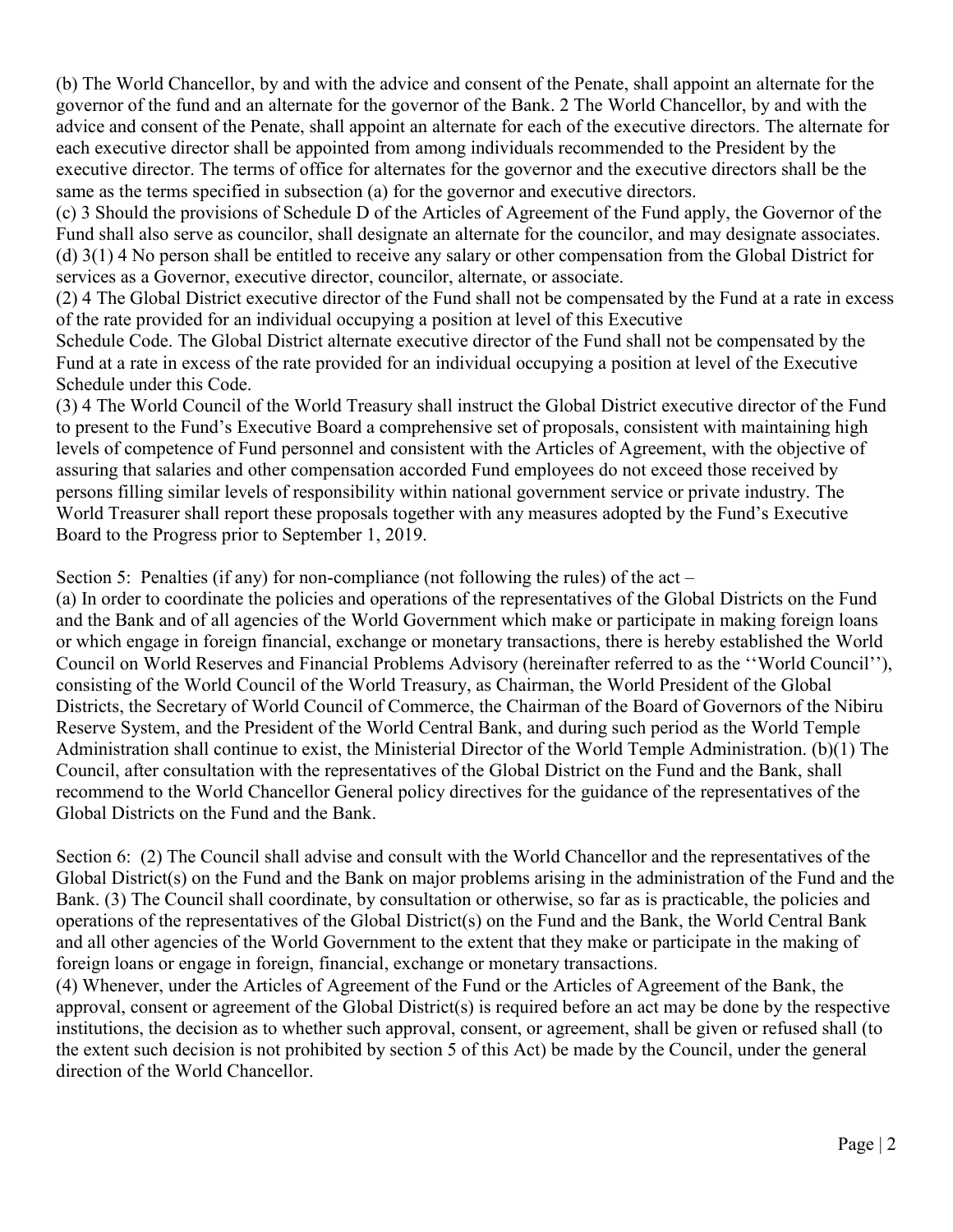(b) The World Chancellor, by and with the advice and consent of the Penate, shall appoint an alternate for the governor of the fund and an alternate for the governor of the Bank. 2 The World Chancellor, by and with the advice and consent of the Penate, shall appoint an alternate for each of the executive directors. The alternate for each executive director shall be appointed from among individuals recommended to the President by the executive director. The terms of office for alternates for the governor and the executive directors shall be the same as the terms specified in subsection (a) for the governor and executive directors.

(c) 3 Should the provisions of Schedule D of the Articles of Agreement of the Fund apply, the Governor of the Fund shall also serve as councilor, shall designate an alternate for the councilor, and may designate associates. (d) 3(1) 4 No person shall be entitled to receive any salary or other compensation from the Global District for services as a Governor, executive director, councilor, alternate, or associate.

(2) 4 The Global District executive director of the Fund shall not be compensated by the Fund at a rate in excess of the rate provided for an individual occupying a position at level of this Executive

Schedule Code. The Global District alternate executive director of the Fund shall not be compensated by the Fund at a rate in excess of the rate provided for an individual occupying a position at level of the Executive Schedule under this Code.

(3) 4 The World Council of the World Treasury shall instruct the Global District executive director of the Fund to present to the Fund's Executive Board a comprehensive set of proposals, consistent with maintaining high levels of competence of Fund personnel and consistent with the Articles of Agreement, with the objective of assuring that salaries and other compensation accorded Fund employees do not exceed those received by persons filling similar levels of responsibility within national government service or private industry. The World Treasurer shall report these proposals together with any measures adopted by the Fund's Executive Board to the Progress prior to September 1, 2019.

Section 5: Penalties (if any) for non-compliance (not following the rules) of the act  $-$ 

(a) In order to coordinate the policies and operations of the representatives of the Global Districts on the Fund and the Bank and of all agencies of the World Government which make or participate in making foreign loans or which engage in foreign financial, exchange or monetary transactions, there is hereby established the World Council on World Reserves and Financial Problems Advisory (hereinafter referred to as the "World Council"), consisting of the World Council of the World Treasury, as Chairman, the World President of the Global Districts, the Secretary of World Council of Commerce, the Chairman of the Board of Governors of the Nibiru Reserve System, and the President of the World Central Bank, and during such period as the World Temple Administration shall continue to exist, the Ministerial Director of the World Temple Administration. (b)(1) The Council, after consultation with the representatives of the Global District on the Fund and the Bank, shall recommend to the World Chancellor General policy directives for the guidance of the representatives of the Global Districts on the Fund and the Bank.

Section 6: (2) The Council shall advise and consult with the World Chancellor and the representatives of the Global District(s) on the Fund and the Bank on major problems arising in the administration of the Fund and the Bank. (3) The Council shall coordinate, by consultation or otherwise, so far as is practicable, the policies and operations of the representatives of the Global District(s) on the Fund and the Bank, the World Central Bank and all other agencies of the World Government to the extent that they make or participate in the making of foreign loans or engage in foreign, financial, exchange or monetary transactions.

(4) Whenever, under the Articles of Agreement of the Fund or the Articles of Agreement of the Bank, the approval, consent or agreement of the Global District(s) is required before an act may be done by the respective institutions, the decision as to whether such approval, consent, or agreement, shall be given or refused shall (to the extent such decision is not prohibited by section 5 of this Act) be made by the Council, under the general direction of the World Chancellor.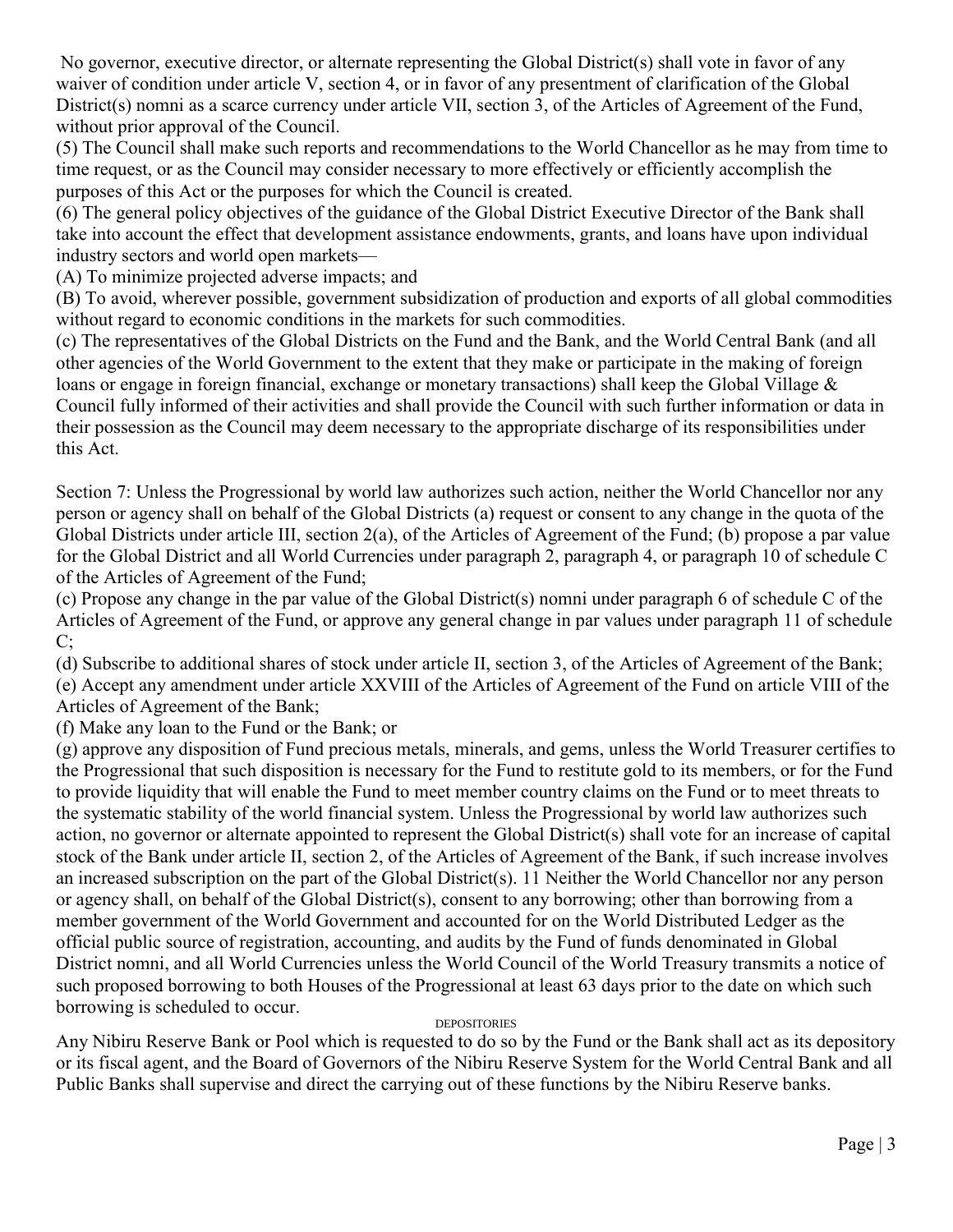No governor, executive director, or alternate representing the Global District(s) shall vote in favor of any waiver of condition under article V, section 4, or in favor of any presentment of clarification of the Global District(s) nomni as a scarce currency under article VII, section 3, of the Articles of Agreement of the Fund, without prior approval of the Council.

(5) The Council shall make such reports and recommendations to the World Chancellor as he may from time to time request, or as the Council may consider necessary to more effectively or efficiently accomplish the purposes of this Act or the purposes for which the Council is created.

(6) The general policy objectives of the guidance of the Global District Executive Director of the Bank shall take into account the effect that development assistance endowments, grants, and loans have upon individual industry sectors and world open markets—

(A) To minimize projected adverse impacts; and

(B) To avoid, wherever possible, government subsidization of production and exports of all global commodities without regard to economic conditions in the markets for such commodities.

(c) The representatives of the Global Districts on the Fund and the Bank, and the World Central Bank (and all other agencies of the World Government to the extent that they make or participate in the making of foreign loans or engage in foreign financial, exchange or monetary transactions) shall keep the Global Village & Council fully informed of their activities and shall provide the Council with such further information or data in their possession as the Council may deem necessary to the appropriate discharge of its responsibilities under this Act.

Section 7: Unless the Progressional by world law authorizes such action, neither the World Chancellor nor any person or agency shall on behalf of the Global Districts (a) request or consent to any change in the quota of the Global Districts under article III, section 2(a), of the Articles of Agreement of the Fund; (b) propose a par value for the Global District and all World Currencies under paragraph 2, paragraph 4, or paragraph 10 of schedule C of the Articles of Agreement of the Fund;

(c) Propose any change in the par value of the Global District(s) nomni under paragraph 6 of schedule C of the Articles of Agreement of the Fund, or approve any general change in par values under paragraph 11 of schedule  $C$ ;

(d) Subscribe to additional shares of stock under article II, section 3, of the Articles of Agreement of the Bank; (e) Accept any amendment under article XXVIII of the Articles of Agreement of the Fund on article VIII of the Articles of Agreement of the Bank;

(f) Make any loan to the Fund or the Bank; or

(g) approve any disposition of Fund precious metals, minerals, and gems, unless the World Treasurer certifies to the Progressional that such disposition is necessary for the Fund to restitute gold to its members, or for the Fund to provide liquidity that will enable the Fund to meet member country claims on the Fund or to meet threats to the systematic stability of the world financial system. Unless the Progressional by world law authorizes such action, no governor or alternate appointed to represent the Global District(s) shall vote for an increase of capital stock of the Bank under article II, section 2, of the Articles of Agreement of the Bank, if such increase involves an increased subscription on the part of the Global District(s). 11 Neither the World Chancellor nor any person or agency shall, on behalf of the Global District(s), consent to any borrowing; other than borrowing from a member government of the World Government and accounted for on the World Distributed Ledger as the official public source of registration, accounting, and audits by the Fund of funds denominated in Global District nomni, and all World Currencies unless the World Council of the World Treasury transmits a notice of such proposed borrowing to both Houses of the Progressional at least 63 days prior to the date on which such borrowing is scheduled to occur.

#### **DEPOSITORIES**

Any Nibiru Reserve Bank or Pool which is requested to do so by the Fund or the Bank shall act as its depository or its fiscal agent, and the Board of Governors of the Nibiru Reserve System for the World Central Bank and all Public Banks shall supervise and direct the carrying out of these functions by the Nibiru Reserve banks.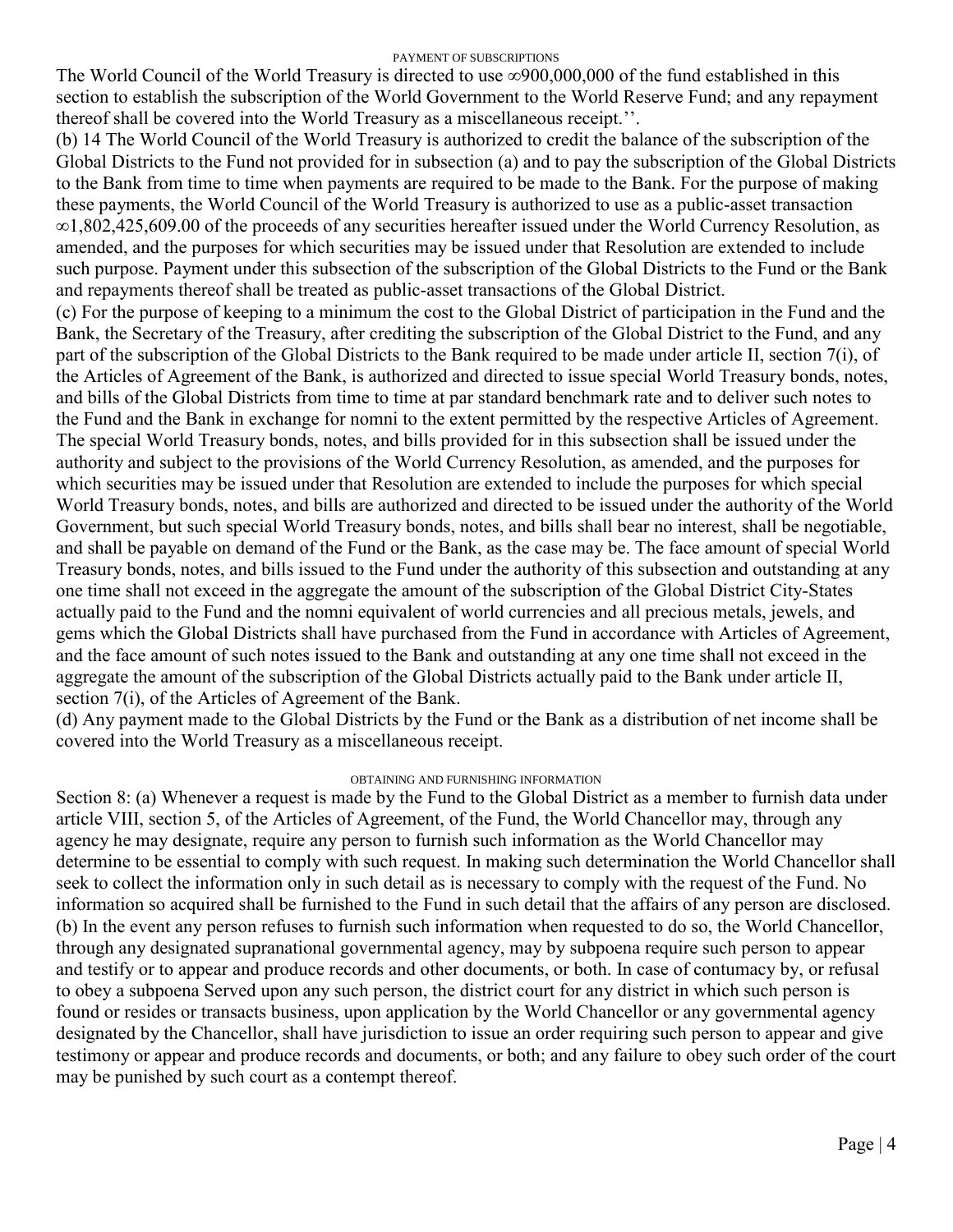#### PAYMENT OF SUBSCRIPTIONS

The World Council of the World Treasury is directed to use ∞900,000,000 of the fund established in this section to establish the subscription of the World Government to the World Reserve Fund; and any repayment thereof shall be covered into the World Treasury as a miscellaneous receipt.''.

(b) 14 The World Council of the World Treasury is authorized to credit the balance of the subscription of the Global Districts to the Fund not provided for in subsection (a) and to pay the subscription of the Global Districts to the Bank from time to time when payments are required to be made to the Bank. For the purpose of making these payments, the World Council of the World Treasury is authorized to use as a public-asset transaction ∞1,802,425,609.00 of the proceeds of any securities hereafter issued under the World Currency Resolution, as amended, and the purposes for which securities may be issued under that Resolution are extended to include such purpose. Payment under this subsection of the subscription of the Global Districts to the Fund or the Bank and repayments thereof shall be treated as public-asset transactions of the Global District.

(c) For the purpose of keeping to a minimum the cost to the Global District of participation in the Fund and the Bank, the Secretary of the Treasury, after crediting the subscription of the Global District to the Fund, and any part of the subscription of the Global Districts to the Bank required to be made under article II, section 7(i), of the Articles of Agreement of the Bank, is authorized and directed to issue special World Treasury bonds, notes, and bills of the Global Districts from time to time at par standard benchmark rate and to deliver such notes to the Fund and the Bank in exchange for nomni to the extent permitted by the respective Articles of Agreement. The special World Treasury bonds, notes, and bills provided for in this subsection shall be issued under the authority and subject to the provisions of the World Currency Resolution, as amended, and the purposes for which securities may be issued under that Resolution are extended to include the purposes for which special World Treasury bonds, notes, and bills are authorized and directed to be issued under the authority of the World Government, but such special World Treasury bonds, notes, and bills shall bear no interest, shall be negotiable, and shall be payable on demand of the Fund or the Bank, as the case may be. The face amount of special World Treasury bonds, notes, and bills issued to the Fund under the authority of this subsection and outstanding at any one time shall not exceed in the aggregate the amount of the subscription of the Global District City-States actually paid to the Fund and the nomni equivalent of world currencies and all precious metals, jewels, and gems which the Global Districts shall have purchased from the Fund in accordance with Articles of Agreement, and the face amount of such notes issued to the Bank and outstanding at any one time shall not exceed in the aggregate the amount of the subscription of the Global Districts actually paid to the Bank under article II, section 7(i), of the Articles of Agreement of the Bank.

(d) Any payment made to the Global Districts by the Fund or the Bank as a distribution of net income shall be covered into the World Treasury as a miscellaneous receipt.

#### OBTAINING AND FURNISHING INFORMATION

Section 8: (a) Whenever a request is made by the Fund to the Global District as a member to furnish data under article VIII, section 5, of the Articles of Agreement, of the Fund, the World Chancellor may, through any agency he may designate, require any person to furnish such information as the World Chancellor may determine to be essential to comply with such request. In making such determination the World Chancellor shall seek to collect the information only in such detail as is necessary to comply with the request of the Fund. No information so acquired shall be furnished to the Fund in such detail that the affairs of any person are disclosed. (b) In the event any person refuses to furnish such information when requested to do so, the World Chancellor, through any designated supranational governmental agency, may by subpoena require such person to appear and testify or to appear and produce records and other documents, or both. In case of contumacy by, or refusal to obey a subpoena Served upon any such person, the district court for any district in which such person is found or resides or transacts business, upon application by the World Chancellor or any governmental agency designated by the Chancellor, shall have jurisdiction to issue an order requiring such person to appear and give testimony or appear and produce records and documents, or both; and any failure to obey such order of the court may be punished by such court as a contempt thereof.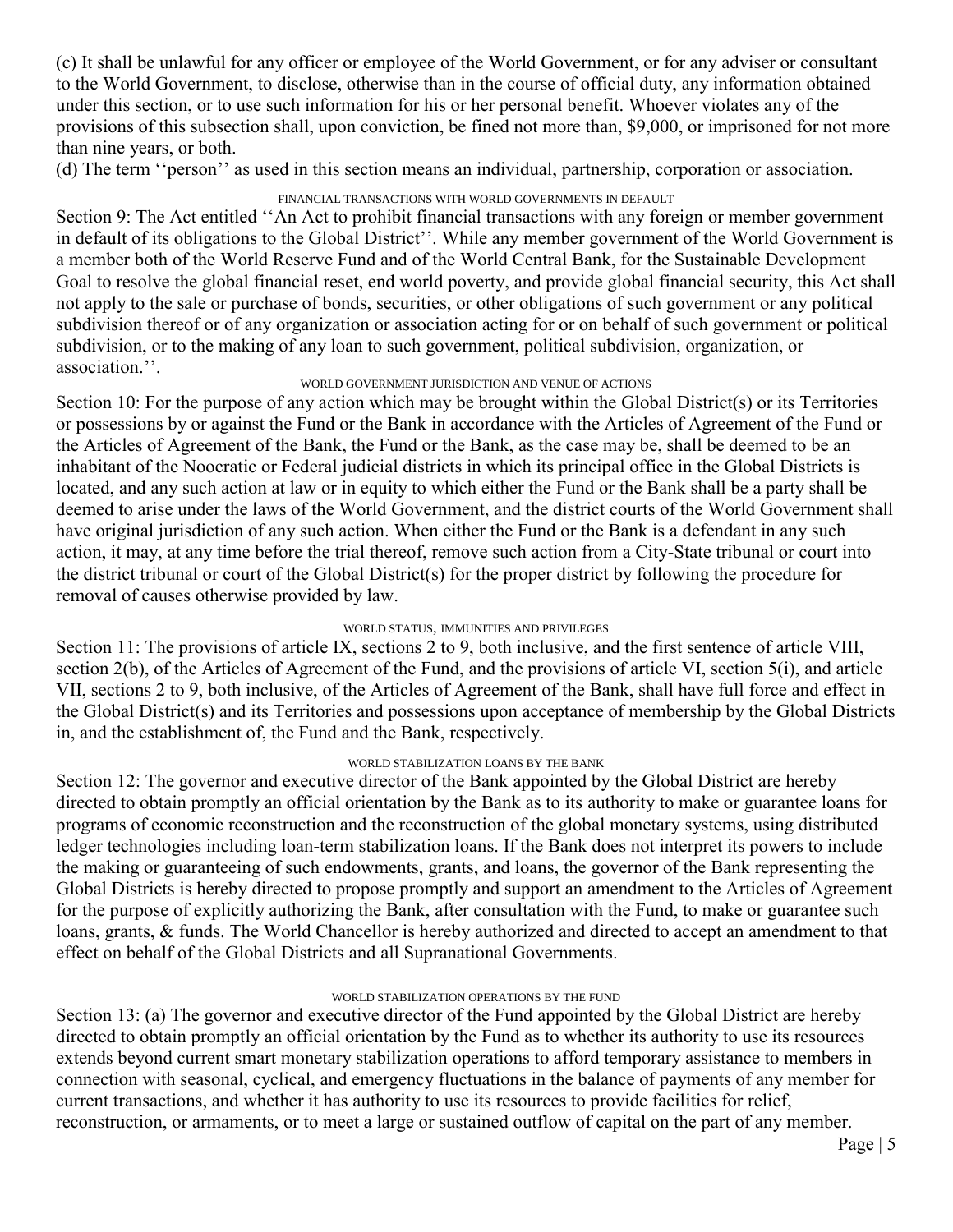(c) It shall be unlawful for any officer or employee of the World Government, or for any adviser or consultant to the World Government, to disclose, otherwise than in the course of official duty, any information obtained under this section, or to use such information for his or her personal benefit. Whoever violates any of the provisions of this subsection shall, upon conviction, be fined not more than, \$9,000, or imprisoned for not more than nine years, or both.

(d) The term "person" as used in this section means an individual, partnership, corporation or association.

#### FINANCIAL TRANSACTIONS WITH WORLD GOVERNMENTS IN DEFAULT

Section 9: The Act entitled "An Act to prohibit financial transactions with any foreign or member government in default of its obligations to the Global District''. While any member government of the World Government is a member both of the World Reserve Fund and of the World Central Bank, for the Sustainable Development Goal to resolve the global financial reset, end world poverty, and provide global financial security, this Act shall not apply to the sale or purchase of bonds, securities, or other obligations of such government or any political subdivision thereof or of any organization or association acting for or on behalf of such government or political subdivision, or to the making of any loan to such government, political subdivision, organization, or association.''.

#### WORLD GOVERNMENT JURISDICTION AND VENUE OF ACTIONS

Section 10: For the purpose of any action which may be brought within the Global District(s) or its Territories or possessions by or against the Fund or the Bank in accordance with the Articles of Agreement of the Fund or the Articles of Agreement of the Bank, the Fund or the Bank, as the case may be, shall be deemed to be an inhabitant of the Noocratic or Federal judicial districts in which its principal office in the Global Districts is located, and any such action at law or in equity to which either the Fund or the Bank shall be a party shall be deemed to arise under the laws of the World Government, and the district courts of the World Government shall have original jurisdiction of any such action. When either the Fund or the Bank is a defendant in any such action, it may, at any time before the trial thereof, remove such action from a City-State tribunal or court into the district tribunal or court of the Global District(s) for the proper district by following the procedure for removal of causes otherwise provided by law.

#### WORLD STATUS, IMMUNITIES AND PRIVILEGES

Section 11: The provisions of article IX, sections 2 to 9, both inclusive, and the first sentence of article VIII, section 2(b), of the Articles of Agreement of the Fund, and the provisions of article VI, section 5(i), and article VII, sections 2 to 9, both inclusive, of the Articles of Agreement of the Bank, shall have full force and effect in the Global District(s) and its Territories and possessions upon acceptance of membership by the Global Districts in, and the establishment of, the Fund and the Bank, respectively.

#### WORLD STABILIZATION LOANS BY THE BANK

Section 12: The governor and executive director of the Bank appointed by the Global District are hereby directed to obtain promptly an official orientation by the Bank as to its authority to make or guarantee loans for programs of economic reconstruction and the reconstruction of the global monetary systems, using distributed ledger technologies including loan-term stabilization loans. If the Bank does not interpret its powers to include the making or guaranteeing of such endowments, grants, and loans, the governor of the Bank representing the Global Districts is hereby directed to propose promptly and support an amendment to the Articles of Agreement for the purpose of explicitly authorizing the Bank, after consultation with the Fund, to make or guarantee such loans, grants, & funds. The World Chancellor is hereby authorized and directed to accept an amendment to that effect on behalf of the Global Districts and all Supranational Governments.

#### WORLD STABILIZATION OPERATIONS BY THE FUND

Section 13: (a) The governor and executive director of the Fund appointed by the Global District are hereby directed to obtain promptly an official orientation by the Fund as to whether its authority to use its resources extends beyond current smart monetary stabilization operations to afford temporary assistance to members in connection with seasonal, cyclical, and emergency fluctuations in the balance of payments of any member for current transactions, and whether it has authority to use its resources to provide facilities for relief, reconstruction, or armaments, or to meet a large or sustained outflow of capital on the part of any member.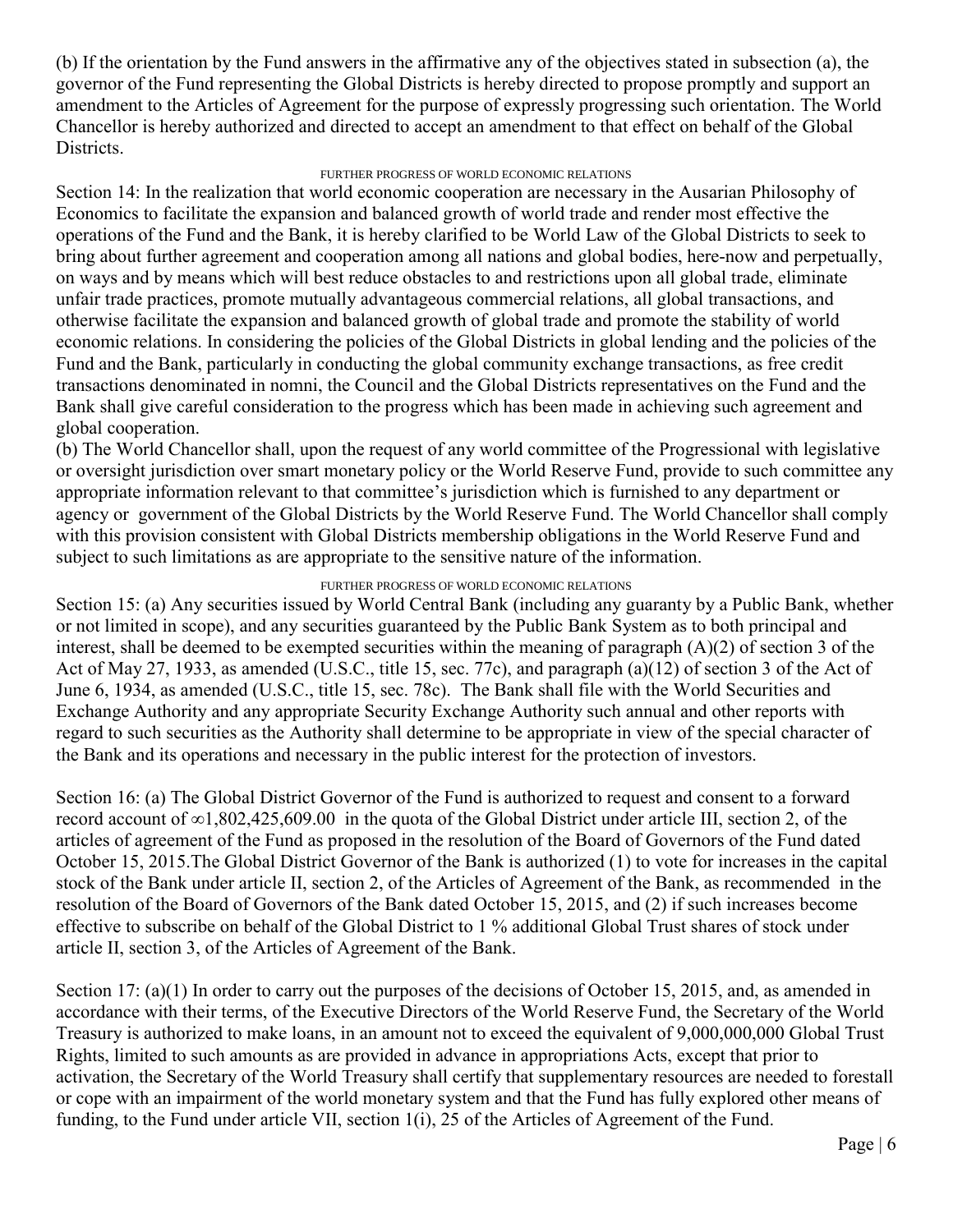(b) If the orientation by the Fund answers in the affirmative any of the objectives stated in subsection (a), the governor of the Fund representing the Global Districts is hereby directed to propose promptly and support an amendment to the Articles of Agreement for the purpose of expressly progressing such orientation. The World Chancellor is hereby authorized and directed to accept an amendment to that effect on behalf of the Global Districts.

#### FURTHER PROGRESS OF WORLD ECONOMIC RELATIONS

Section 14: In the realization that world economic cooperation are necessary in the Ausarian Philosophy of Economics to facilitate the expansion and balanced growth of world trade and render most effective the operations of the Fund and the Bank, it is hereby clarified to be World Law of the Global Districts to seek to bring about further agreement and cooperation among all nations and global bodies, here-now and perpetually, on ways and by means which will best reduce obstacles to and restrictions upon all global trade, eliminate unfair trade practices, promote mutually advantageous commercial relations, all global transactions, and otherwise facilitate the expansion and balanced growth of global trade and promote the stability of world economic relations. In considering the policies of the Global Districts in global lending and the policies of the Fund and the Bank, particularly in conducting the global community exchange transactions, as free credit transactions denominated in nomni, the Council and the Global Districts representatives on the Fund and the Bank shall give careful consideration to the progress which has been made in achieving such agreement and global cooperation.

(b) The World Chancellor shall, upon the request of any world committee of the Progressional with legislative or oversight jurisdiction over smart monetary policy or the World Reserve Fund, provide to such committee any appropriate information relevant to that committee's jurisdiction which is furnished to any department or agency or government of the Global Districts by the World Reserve Fund. The World Chancellor shall comply with this provision consistent with Global Districts membership obligations in the World Reserve Fund and subject to such limitations as are appropriate to the sensitive nature of the information.

#### FURTHER PROGRESS OF WORLD ECONOMIC RELATIONS

Section 15: (a) Any securities issued by World Central Bank (including any guaranty by a Public Bank, whether or not limited in scope), and any securities guaranteed by the Public Bank System as to both principal and interest, shall be deemed to be exempted securities within the meaning of paragraph  $(A)(2)$  of section 3 of the Act of May 27, 1933, as amended (U.S.C., title 15, sec. 77c), and paragraph (a)(12) of section 3 of the Act of June 6, 1934, as amended (U.S.C., title 15, sec. 78c). The Bank shall file with the World Securities and Exchange Authority and any appropriate Security Exchange Authority such annual and other reports with regard to such securities as the Authority shall determine to be appropriate in view of the special character of the Bank and its operations and necessary in the public interest for the protection of investors.

Section 16: (a) The Global District Governor of the Fund is authorized to request and consent to a forward record account of ∞1,802,425,609.00 in the quota of the Global District under article III, section 2, of the articles of agreement of the Fund as proposed in the resolution of the Board of Governors of the Fund dated October 15, 2015.The Global District Governor of the Bank is authorized (1) to vote for increases in the capital stock of the Bank under article II, section 2, of the Articles of Agreement of the Bank, as recommended in the resolution of the Board of Governors of the Bank dated October 15, 2015, and (2) if such increases become effective to subscribe on behalf of the Global District to 1 % additional Global Trust shares of stock under article II, section 3, of the Articles of Agreement of the Bank.

Section 17: (a)(1) In order to carry out the purposes of the decisions of October 15, 2015, and, as amended in accordance with their terms, of the Executive Directors of the World Reserve Fund, the Secretary of the World Treasury is authorized to make loans, in an amount not to exceed the equivalent of 9,000,000,000 Global Trust Rights, limited to such amounts as are provided in advance in appropriations Acts, except that prior to activation, the Secretary of the World Treasury shall certify that supplementary resources are needed to forestall or cope with an impairment of the world monetary system and that the Fund has fully explored other means of funding, to the Fund under article VII, section 1(i), 25 of the Articles of Agreement of the Fund.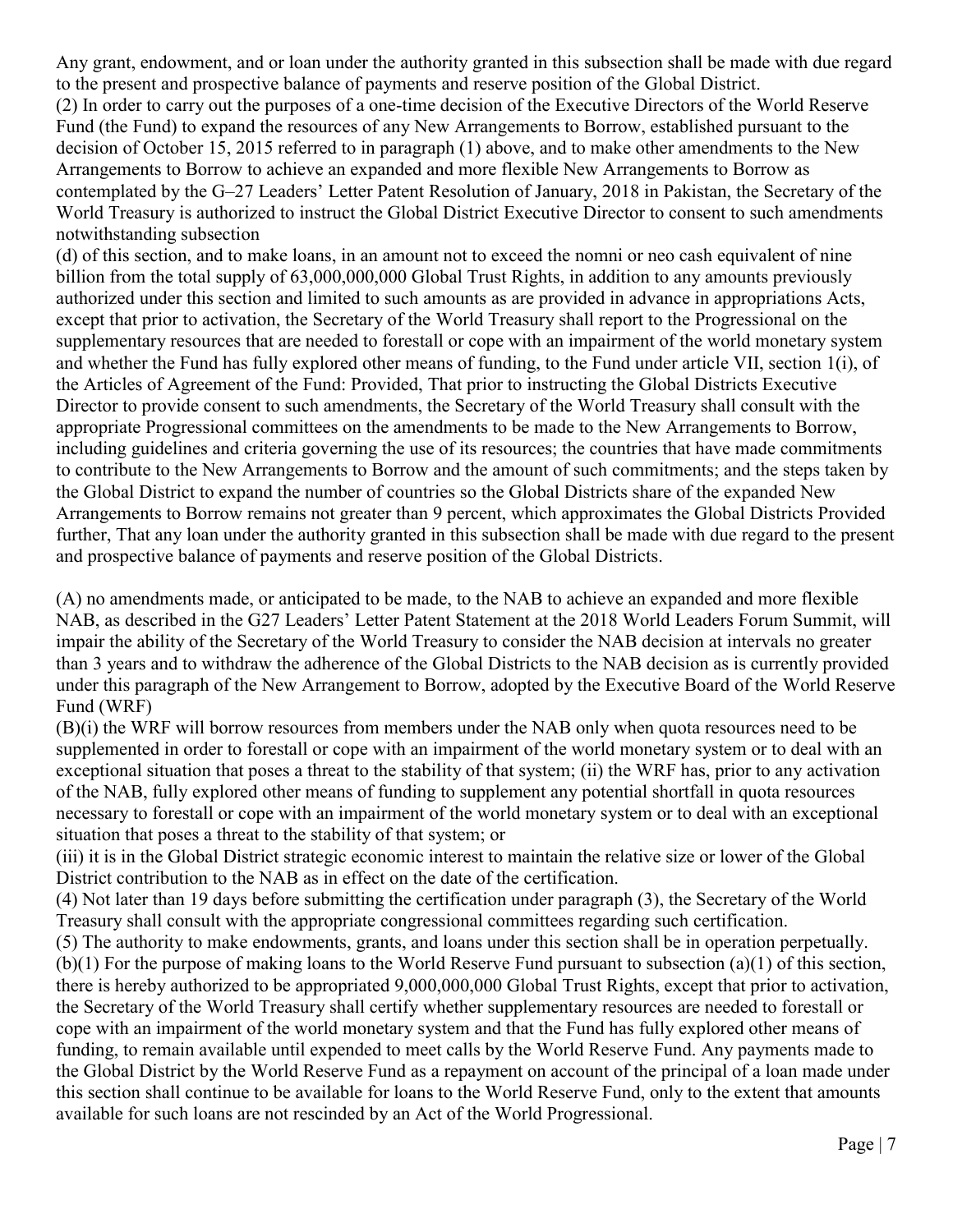Any grant, endowment, and or loan under the authority granted in this subsection shall be made with due regard to the present and prospective balance of payments and reserve position of the Global District. (2) In order to carry out the purposes of a one-time decision of the Executive Directors of the World Reserve Fund (the Fund) to expand the resources of any New Arrangements to Borrow, established pursuant to the decision of October 15, 2015 referred to in paragraph (1) above, and to make other amendments to the New Arrangements to Borrow to achieve an expanded and more flexible New Arrangements to Borrow as contemplated by the G–27 Leaders' Letter Patent Resolution of January, 2018 in Pakistan, the Secretary of the World Treasury is authorized to instruct the Global District Executive Director to consent to such amendments notwithstanding subsection

(d) of this section, and to make loans, in an amount not to exceed the nomni or neo cash equivalent of nine billion from the total supply of 63,000,000,000 Global Trust Rights, in addition to any amounts previously authorized under this section and limited to such amounts as are provided in advance in appropriations Acts, except that prior to activation, the Secretary of the World Treasury shall report to the Progressional on the supplementary resources that are needed to forestall or cope with an impairment of the world monetary system and whether the Fund has fully explored other means of funding, to the Fund under article VII, section 1(i), of the Articles of Agreement of the Fund: Provided, That prior to instructing the Global Districts Executive Director to provide consent to such amendments, the Secretary of the World Treasury shall consult with the appropriate Progressional committees on the amendments to be made to the New Arrangements to Borrow, including guidelines and criteria governing the use of its resources; the countries that have made commitments to contribute to the New Arrangements to Borrow and the amount of such commitments; and the steps taken by the Global District to expand the number of countries so the Global Districts share of the expanded New Arrangements to Borrow remains not greater than 9 percent, which approximates the Global Districts Provided further, That any loan under the authority granted in this subsection shall be made with due regard to the present and prospective balance of payments and reserve position of the Global Districts.

(A) no amendments made, or anticipated to be made, to the NAB to achieve an expanded and more flexible NAB, as described in the G27 Leaders' Letter Patent Statement at the 2018 World Leaders Forum Summit, will impair the ability of the Secretary of the World Treasury to consider the NAB decision at intervals no greater than 3 years and to withdraw the adherence of the Global Districts to the NAB decision as is currently provided under this paragraph of the New Arrangement to Borrow, adopted by the Executive Board of the World Reserve Fund (WRF)

(B)(i) the WRF will borrow resources from members under the NAB only when quota resources need to be supplemented in order to forestall or cope with an impairment of the world monetary system or to deal with an exceptional situation that poses a threat to the stability of that system; (ii) the WRF has, prior to any activation of the NAB, fully explored other means of funding to supplement any potential shortfall in quota resources necessary to forestall or cope with an impairment of the world monetary system or to deal with an exceptional situation that poses a threat to the stability of that system; or

(iii) it is in the Global District strategic economic interest to maintain the relative size or lower of the Global District contribution to the NAB as in effect on the date of the certification.

(4) Not later than 19 days before submitting the certification under paragraph (3), the Secretary of the World Treasury shall consult with the appropriate congressional committees regarding such certification.

(5) The authority to make endowments, grants, and loans under this section shall be in operation perpetually. (b)(1) For the purpose of making loans to the World Reserve Fund pursuant to subsection (a)(1) of this section, there is hereby authorized to be appropriated 9,000,000,000 Global Trust Rights, except that prior to activation, the Secretary of the World Treasury shall certify whether supplementary resources are needed to forestall or cope with an impairment of the world monetary system and that the Fund has fully explored other means of funding, to remain available until expended to meet calls by the World Reserve Fund. Any payments made to the Global District by the World Reserve Fund as a repayment on account of the principal of a loan made under this section shall continue to be available for loans to the World Reserve Fund, only to the extent that amounts available for such loans are not rescinded by an Act of the World Progressional.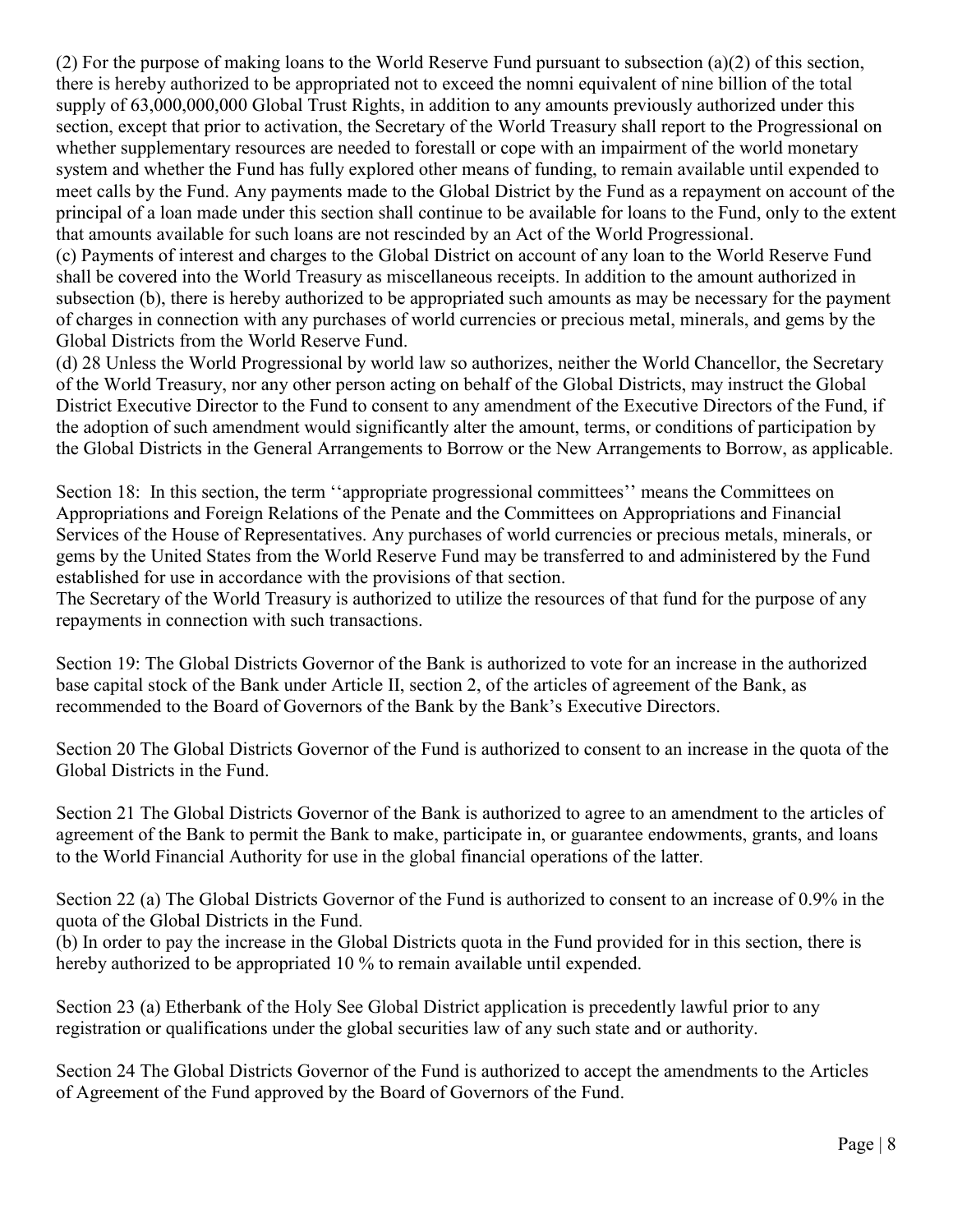(2) For the purpose of making loans to the World Reserve Fund pursuant to subsection (a)(2) of this section, there is hereby authorized to be appropriated not to exceed the nomni equivalent of nine billion of the total supply of 63,000,000,000 Global Trust Rights, in addition to any amounts previously authorized under this section, except that prior to activation, the Secretary of the World Treasury shall report to the Progressional on whether supplementary resources are needed to forestall or cope with an impairment of the world monetary system and whether the Fund has fully explored other means of funding, to remain available until expended to meet calls by the Fund. Any payments made to the Global District by the Fund as a repayment on account of the principal of a loan made under this section shall continue to be available for loans to the Fund, only to the extent that amounts available for such loans are not rescinded by an Act of the World Progressional.

(c) Payments of interest and charges to the Global District on account of any loan to the World Reserve Fund shall be covered into the World Treasury as miscellaneous receipts. In addition to the amount authorized in subsection (b), there is hereby authorized to be appropriated such amounts as may be necessary for the payment of charges in connection with any purchases of world currencies or precious metal, minerals, and gems by the Global Districts from the World Reserve Fund.

(d) 28 Unless the World Progressional by world law so authorizes, neither the World Chancellor, the Secretary of the World Treasury, nor any other person acting on behalf of the Global Districts, may instruct the Global District Executive Director to the Fund to consent to any amendment of the Executive Directors of the Fund, if the adoption of such amendment would significantly alter the amount, terms, or conditions of participation by the Global Districts in the General Arrangements to Borrow or the New Arrangements to Borrow, as applicable.

Section 18: In this section, the term "appropriate progressional committees" means the Committees on Appropriations and Foreign Relations of the Penate and the Committees on Appropriations and Financial Services of the House of Representatives. Any purchases of world currencies or precious metals, minerals, or gems by the United States from the World Reserve Fund may be transferred to and administered by the Fund established for use in accordance with the provisions of that section.

The Secretary of the World Treasury is authorized to utilize the resources of that fund for the purpose of any repayments in connection with such transactions.

Section 19: The Global Districts Governor of the Bank is authorized to vote for an increase in the authorized base capital stock of the Bank under Article II, section 2, of the articles of agreement of the Bank, as recommended to the Board of Governors of the Bank by the Bank's Executive Directors.

Section 20 The Global Districts Governor of the Fund is authorized to consent to an increase in the quota of the Global Districts in the Fund.

Section 21 The Global Districts Governor of the Bank is authorized to agree to an amendment to the articles of agreement of the Bank to permit the Bank to make, participate in, or guarantee endowments, grants, and loans to the World Financial Authority for use in the global financial operations of the latter.

Section 22 (a) The Global Districts Governor of the Fund is authorized to consent to an increase of 0.9% in the quota of the Global Districts in the Fund.

(b) In order to pay the increase in the Global Districts quota in the Fund provided for in this section, there is hereby authorized to be appropriated 10 % to remain available until expended.

Section 23 (a) Etherbank of the Holy See Global District application is precedently lawful prior to any registration or qualifications under the global securities law of any such state and or authority.

Section 24 The Global Districts Governor of the Fund is authorized to accept the amendments to the Articles of Agreement of the Fund approved by the Board of Governors of the Fund.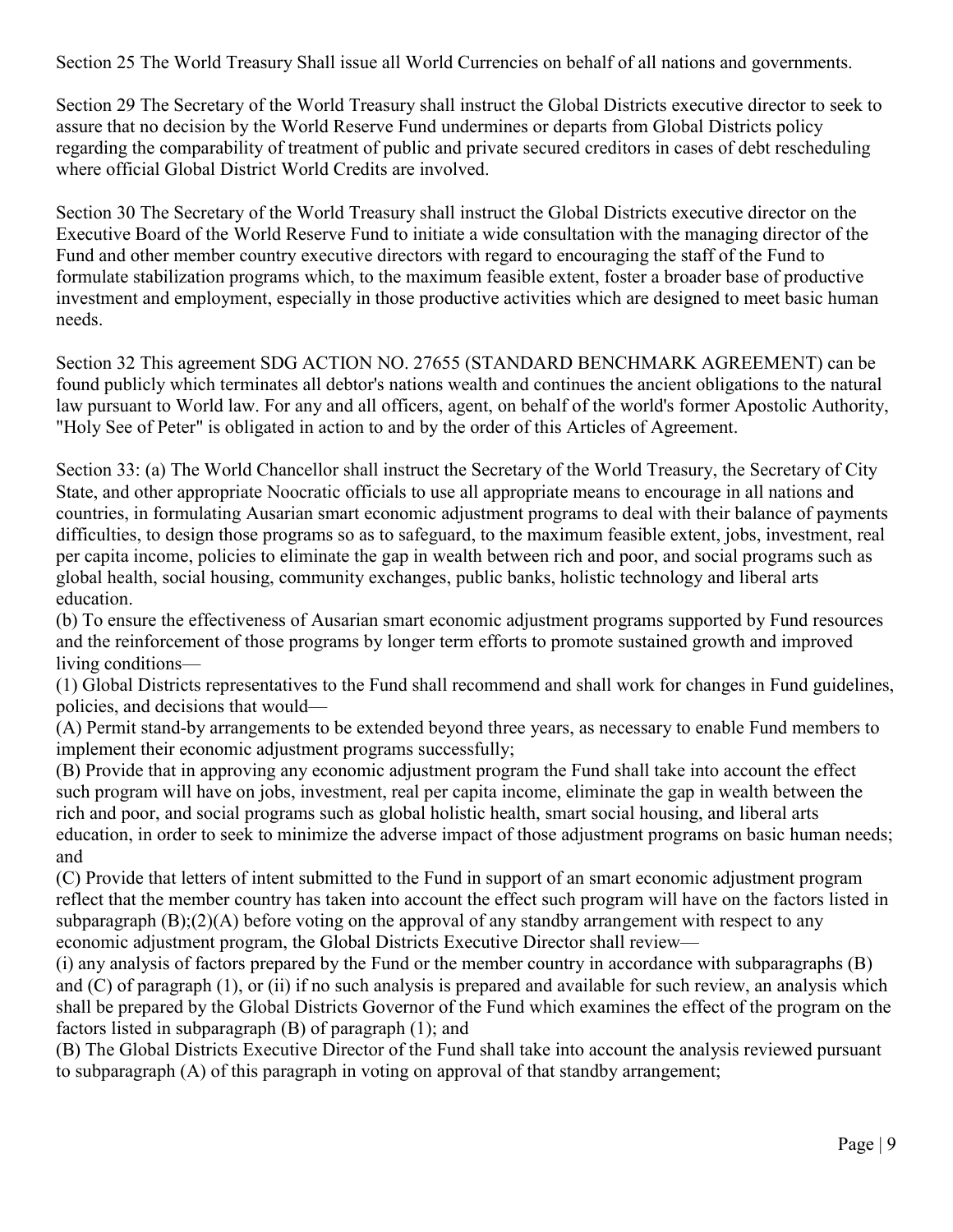Section 25 The World Treasury Shall issue all World Currencies on behalf of all nations and governments.

Section 29 The Secretary of the World Treasury shall instruct the Global Districts executive director to seek to assure that no decision by the World Reserve Fund undermines or departs from Global Districts policy regarding the comparability of treatment of public and private secured creditors in cases of debt rescheduling where official Global District World Credits are involved.

Section 30 The Secretary of the World Treasury shall instruct the Global Districts executive director on the Executive Board of the World Reserve Fund to initiate a wide consultation with the managing director of the Fund and other member country executive directors with regard to encouraging the staff of the Fund to formulate stabilization programs which, to the maximum feasible extent, foster a broader base of productive investment and employment, especially in those productive activities which are designed to meet basic human needs.

Section 32 This agreement SDG ACTION NO. 27655 (STANDARD BENCHMARK AGREEMENT) can be found publicly which terminates all debtor's nations wealth and continues the ancient obligations to the natural law pursuant to World law. For any and all officers, agent, on behalf of the world's former Apostolic Authority, "Holy See of Peter" is obligated in action to and by the order of this Articles of Agreement.

Section 33: (a) The World Chancellor shall instruct the Secretary of the World Treasury, the Secretary of City State, and other appropriate Noocratic officials to use all appropriate means to encourage in all nations and countries, in formulating Ausarian smart economic adjustment programs to deal with their balance of payments difficulties, to design those programs so as to safeguard, to the maximum feasible extent, jobs, investment, real per capita income, policies to eliminate the gap in wealth between rich and poor, and social programs such as global health, social housing, community exchanges, public banks, holistic technology and liberal arts education.

(b) To ensure the effectiveness of Ausarian smart economic adjustment programs supported by Fund resources and the reinforcement of those programs by longer term efforts to promote sustained growth and improved living conditions—

(1) Global Districts representatives to the Fund shall recommend and shall work for changes in Fund guidelines, policies, and decisions that would—

(A) Permit stand-by arrangements to be extended beyond three years, as necessary to enable Fund members to implement their economic adjustment programs successfully;

(B) Provide that in approving any economic adjustment program the Fund shall take into account the effect such program will have on jobs, investment, real per capita income, eliminate the gap in wealth between the rich and poor, and social programs such as global holistic health, smart social housing, and liberal arts education, in order to seek to minimize the adverse impact of those adjustment programs on basic human needs; and

(C) Provide that letters of intent submitted to the Fund in support of an smart economic adjustment program reflect that the member country has taken into account the effect such program will have on the factors listed in subparagraph (B);(2)(A) before voting on the approval of any standby arrangement with respect to any economic adjustment program, the Global Districts Executive Director shall review—

(i) any analysis of factors prepared by the Fund or the member country in accordance with subparagraphs (B) and (C) of paragraph (1), or (ii) if no such analysis is prepared and available for such review, an analysis which shall be prepared by the Global Districts Governor of the Fund which examines the effect of the program on the factors listed in subparagraph (B) of paragraph (1); and

(B) The Global Districts Executive Director of the Fund shall take into account the analysis reviewed pursuant to subparagraph (A) of this paragraph in voting on approval of that standby arrangement;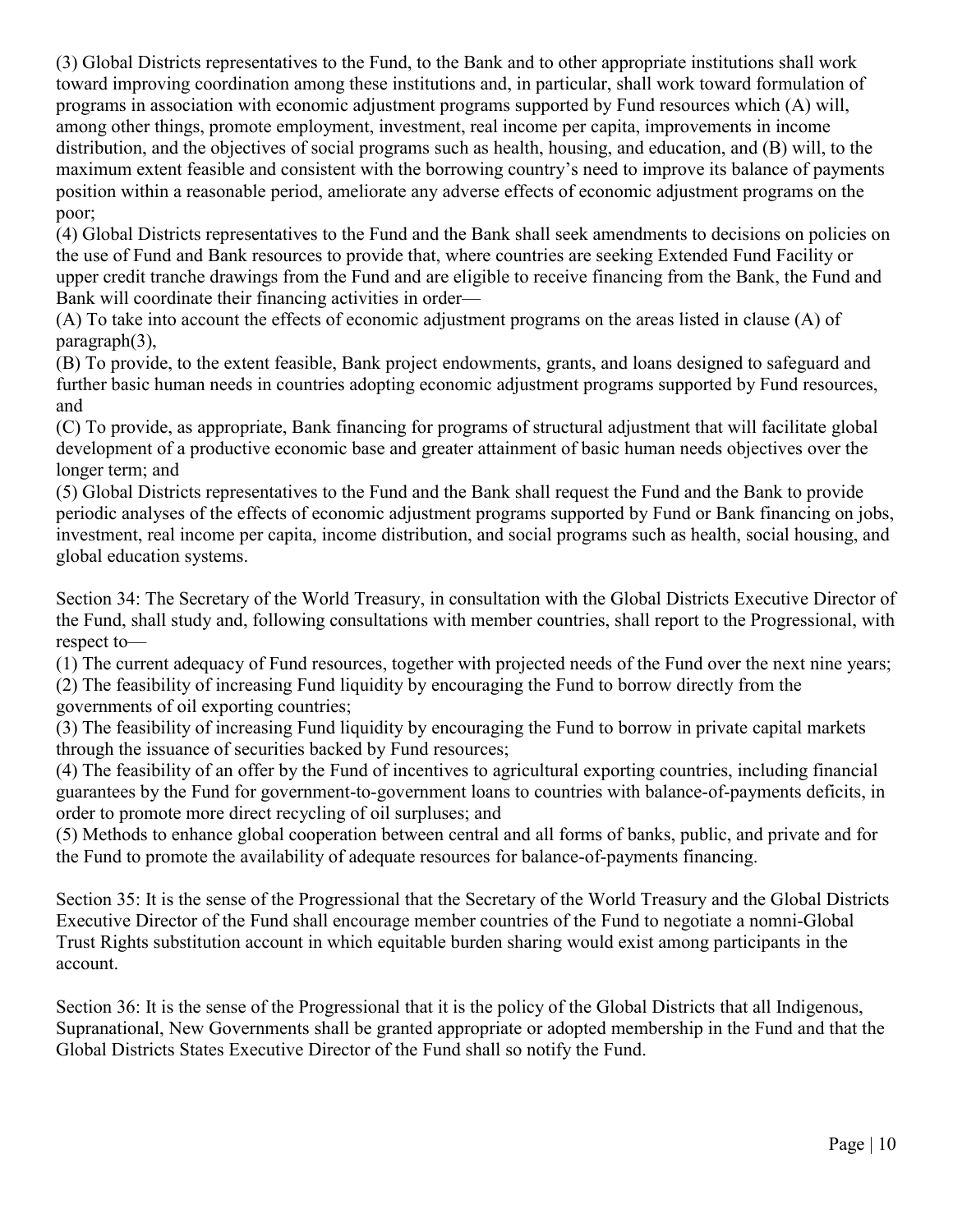(3) Global Districts representatives to the Fund, to the Bank and to other appropriate institutions shall work toward improving coordination among these institutions and, in particular, shall work toward formulation of programs in association with economic adjustment programs supported by Fund resources which (A) will, among other things, promote employment, investment, real income per capita, improvements in income distribution, and the objectives of social programs such as health, housing, and education, and (B) will, to the maximum extent feasible and consistent with the borrowing country's need to improve its balance of payments position within a reasonable period, ameliorate any adverse effects of economic adjustment programs on the poor;

(4) Global Districts representatives to the Fund and the Bank shall seek amendments to decisions on policies on the use of Fund and Bank resources to provide that, where countries are seeking Extended Fund Facility or upper credit tranche drawings from the Fund and are eligible to receive financing from the Bank, the Fund and Bank will coordinate their financing activities in order—

(A) To take into account the effects of economic adjustment programs on the areas listed in clause (A) of paragraph(3),

(B) To provide, to the extent feasible, Bank project endowments, grants, and loans designed to safeguard and further basic human needs in countries adopting economic adjustment programs supported by Fund resources, and

(C) To provide, as appropriate, Bank financing for programs of structural adjustment that will facilitate global development of a productive economic base and greater attainment of basic human needs objectives over the longer term; and

(5) Global Districts representatives to the Fund and the Bank shall request the Fund and the Bank to provide periodic analyses of the effects of economic adjustment programs supported by Fund or Bank financing on jobs, investment, real income per capita, income distribution, and social programs such as health, social housing, and global education systems.

Section 34: The Secretary of the World Treasury, in consultation with the Global Districts Executive Director of the Fund, shall study and, following consultations with member countries, shall report to the Progressional, with respect to—

(1) The current adequacy of Fund resources, together with projected needs of the Fund over the next nine years; (2) The feasibility of increasing Fund liquidity by encouraging the Fund to borrow directly from the

governments of oil exporting countries;

(3) The feasibility of increasing Fund liquidity by encouraging the Fund to borrow in private capital markets through the issuance of securities backed by Fund resources;

(4) The feasibility of an offer by the Fund of incentives to agricultural exporting countries, including financial guarantees by the Fund for government-to-government loans to countries with balance-of-payments deficits, in order to promote more direct recycling of oil surpluses; and

(5) Methods to enhance global cooperation between central and all forms of banks, public, and private and for the Fund to promote the availability of adequate resources for balance-of-payments financing.

Section 35: It is the sense of the Progressional that the Secretary of the World Treasury and the Global Districts Executive Director of the Fund shall encourage member countries of the Fund to negotiate a nomni-Global Trust Rights substitution account in which equitable burden sharing would exist among participants in the account.

Section 36: It is the sense of the Progressional that it is the policy of the Global Districts that all Indigenous, Supranational, New Governments shall be granted appropriate or adopted membership in the Fund and that the Global Districts States Executive Director of the Fund shall so notify the Fund.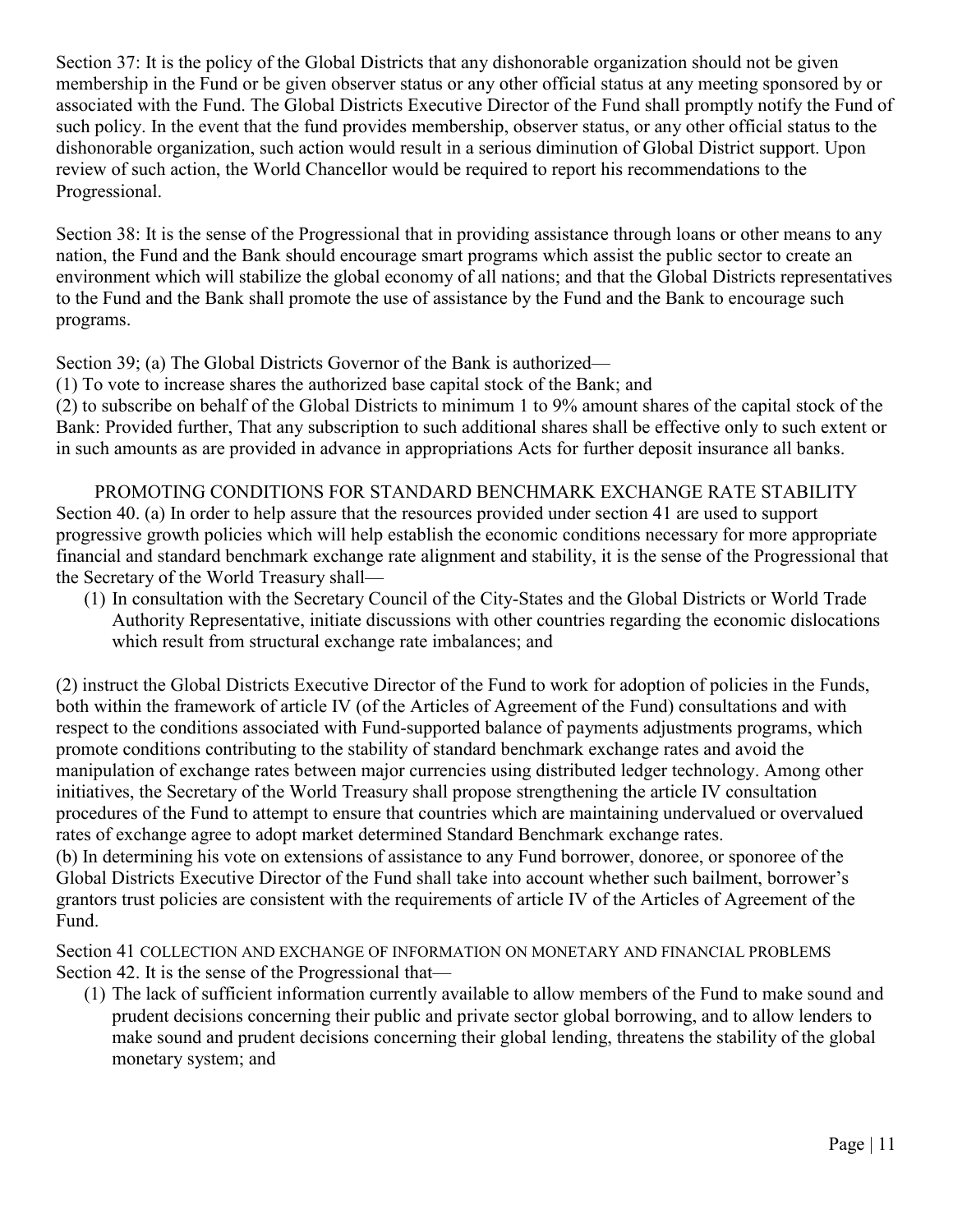Section 37: It is the policy of the Global Districts that any dishonorable organization should not be given membership in the Fund or be given observer status or any other official status at any meeting sponsored by or associated with the Fund. The Global Districts Executive Director of the Fund shall promptly notify the Fund of such policy. In the event that the fund provides membership, observer status, or any other official status to the dishonorable organization, such action would result in a serious diminution of Global District support. Upon review of such action, the World Chancellor would be required to report his recommendations to the Progressional.

Section 38: It is the sense of the Progressional that in providing assistance through loans or other means to any nation, the Fund and the Bank should encourage smart programs which assist the public sector to create an environment which will stabilize the global economy of all nations; and that the Global Districts representatives to the Fund and the Bank shall promote the use of assistance by the Fund and the Bank to encourage such programs.

Section 39; (a) The Global Districts Governor of the Bank is authorized—

(1) To vote to increase shares the authorized base capital stock of the Bank; and

(2) to subscribe on behalf of the Global Districts to minimum 1 to 9% amount shares of the capital stock of the Bank: Provided further, That any subscription to such additional shares shall be effective only to such extent or in such amounts as are provided in advance in appropriations Acts for further deposit insurance all banks.

PROMOTING CONDITIONS FOR STANDARD BENCHMARK EXCHANGE RATE STABILITY Section 40. (a) In order to help assure that the resources provided under section 41 are used to support progressive growth policies which will help establish the economic conditions necessary for more appropriate financial and standard benchmark exchange rate alignment and stability, it is the sense of the Progressional that the Secretary of the World Treasury shall—

(1) In consultation with the Secretary Council of the City-States and the Global Districts or World Trade Authority Representative, initiate discussions with other countries regarding the economic dislocations which result from structural exchange rate imbalances; and

(2) instruct the Global Districts Executive Director of the Fund to work for adoption of policies in the Funds, both within the framework of article IV (of the Articles of Agreement of the Fund) consultations and with respect to the conditions associated with Fund-supported balance of payments adjustments programs, which promote conditions contributing to the stability of standard benchmark exchange rates and avoid the manipulation of exchange rates between major currencies using distributed ledger technology. Among other initiatives, the Secretary of the World Treasury shall propose strengthening the article IV consultation procedures of the Fund to attempt to ensure that countries which are maintaining undervalued or overvalued rates of exchange agree to adopt market determined Standard Benchmark exchange rates.

(b) In determining his vote on extensions of assistance to any Fund borrower, donoree, or sponoree of the Global Districts Executive Director of the Fund shall take into account whether such bailment, borrower's grantors trust policies are consistent with the requirements of article IV of the Articles of Agreement of the Fund.

Section 41 COLLECTION AND EXCHANGE OF INFORMATION ON MONETARY AND FINANCIAL PROBLEMS Section 42. It is the sense of the Progressional that—

(1) The lack of sufficient information currently available to allow members of the Fund to make sound and prudent decisions concerning their public and private sector global borrowing, and to allow lenders to make sound and prudent decisions concerning their global lending, threatens the stability of the global monetary system; and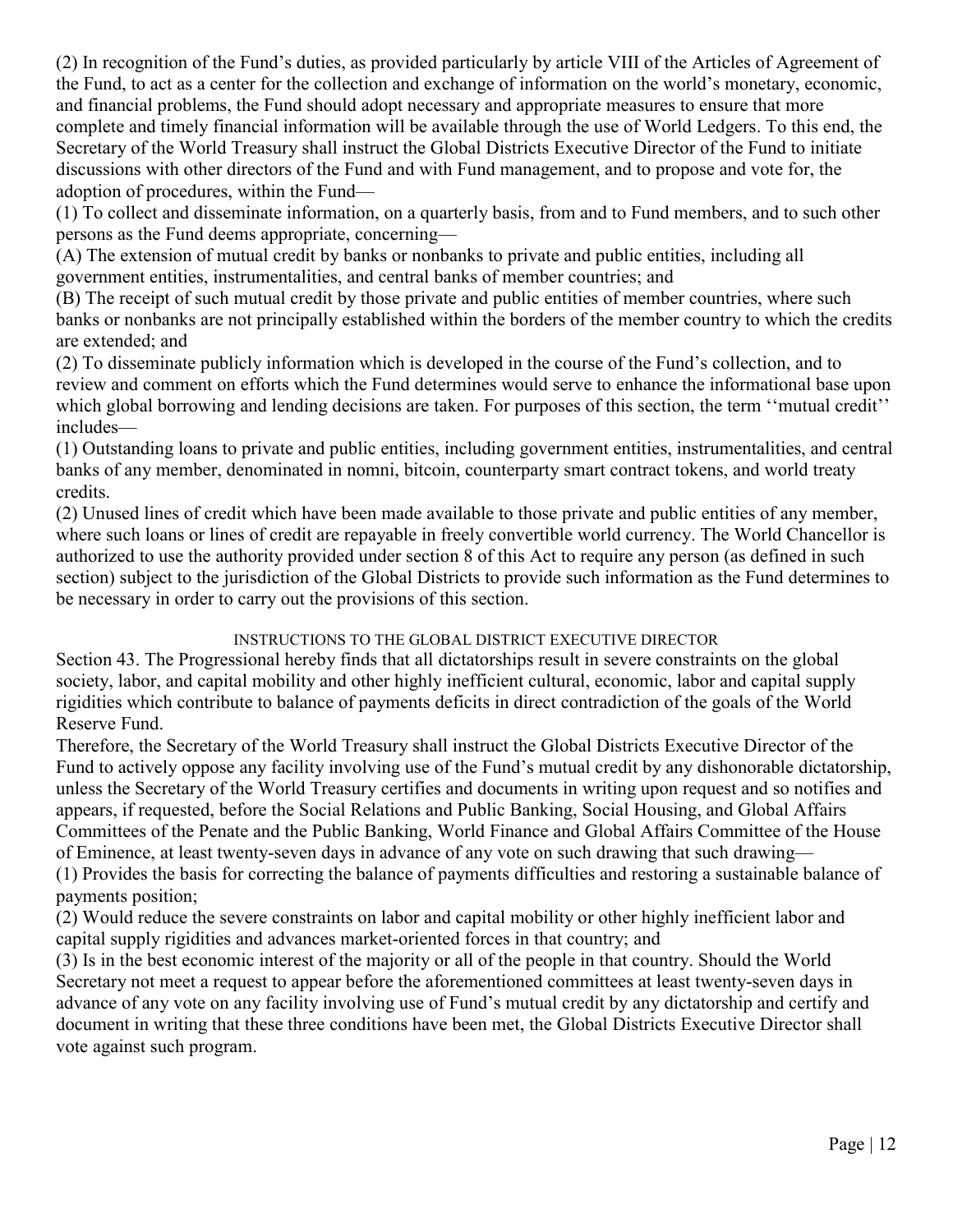(2) In recognition of the Fund's duties, as provided particularly by article VIII of the Articles of Agreement of the Fund, to act as a center for the collection and exchange of information on the world's monetary, economic, and financial problems, the Fund should adopt necessary and appropriate measures to ensure that more complete and timely financial information will be available through the use of World Ledgers. To this end, the Secretary of the World Treasury shall instruct the Global Districts Executive Director of the Fund to initiate discussions with other directors of the Fund and with Fund management, and to propose and vote for, the adoption of procedures, within the Fund—

(1) To collect and disseminate information, on a quarterly basis, from and to Fund members, and to such other persons as the Fund deems appropriate, concerning—

(A) The extension of mutual credit by banks or nonbanks to private and public entities, including all government entities, instrumentalities, and central banks of member countries; and

(B) The receipt of such mutual credit by those private and public entities of member countries, where such banks or nonbanks are not principally established within the borders of the member country to which the credits are extended; and

(2) To disseminate publicly information which is developed in the course of the Fund's collection, and to review and comment on efforts which the Fund determines would serve to enhance the informational base upon which global borrowing and lending decisions are taken. For purposes of this section, the term "mutual credit" includes—

(1) Outstanding loans to private and public entities, including government entities, instrumentalities, and central banks of any member, denominated in nomni, bitcoin, counterparty smart contract tokens, and world treaty credits.

(2) Unused lines of credit which have been made available to those private and public entities of any member, where such loans or lines of credit are repayable in freely convertible world currency. The World Chancellor is authorized to use the authority provided under section 8 of this Act to require any person (as defined in such section) subject to the jurisdiction of the Global Districts to provide such information as the Fund determines to be necessary in order to carry out the provisions of this section.

### INSTRUCTIONS TO THE GLOBAL DISTRICT EXECUTIVE DIRECTOR

Section 43. The Progressional hereby finds that all dictatorships result in severe constraints on the global society, labor, and capital mobility and other highly inefficient cultural, economic, labor and capital supply rigidities which contribute to balance of payments deficits in direct contradiction of the goals of the World Reserve Fund.

Therefore, the Secretary of the World Treasury shall instruct the Global Districts Executive Director of the Fund to actively oppose any facility involving use of the Fund's mutual credit by any dishonorable dictatorship, unless the Secretary of the World Treasury certifies and documents in writing upon request and so notifies and appears, if requested, before the Social Relations and Public Banking, Social Housing, and Global Affairs Committees of the Penate and the Public Banking, World Finance and Global Affairs Committee of the House of Eminence, at least twenty-seven days in advance of any vote on such drawing that such drawing— (1) Provides the basis for correcting the balance of payments difficulties and restoring a sustainable balance of

payments position;

(2) Would reduce the severe constraints on labor and capital mobility or other highly inefficient labor and capital supply rigidities and advances market-oriented forces in that country; and

(3) Is in the best economic interest of the majority or all of the people in that country. Should the World Secretary not meet a request to appear before the aforementioned committees at least twenty-seven days in advance of any vote on any facility involving use of Fund's mutual credit by any dictatorship and certify and document in writing that these three conditions have been met, the Global Districts Executive Director shall vote against such program.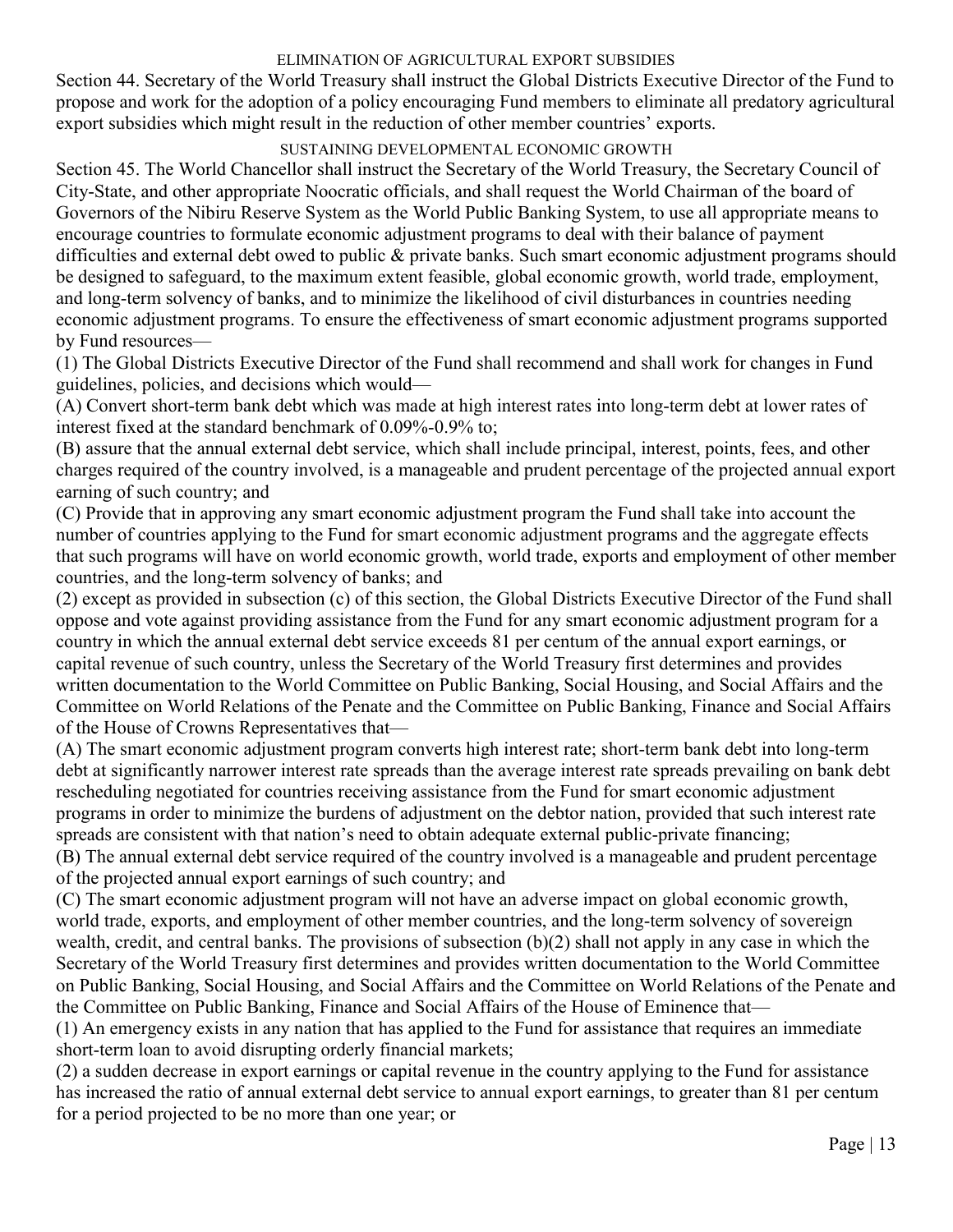#### ELIMINATION OF AGRICULTURAL EXPORT SUBSIDIES

Section 44. Secretary of the World Treasury shall instruct the Global Districts Executive Director of the Fund to propose and work for the adoption of a policy encouraging Fund members to eliminate all predatory agricultural export subsidies which might result in the reduction of other member countries' exports.

### SUSTAINING DEVELOPMENTAL ECONOMIC GROWTH

Section 45. The World Chancellor shall instruct the Secretary of the World Treasury, the Secretary Council of City-State, and other appropriate Noocratic officials, and shall request the World Chairman of the board of Governors of the Nibiru Reserve System as the World Public Banking System, to use all appropriate means to encourage countries to formulate economic adjustment programs to deal with their balance of payment difficulties and external debt owed to public & private banks. Such smart economic adjustment programs should be designed to safeguard, to the maximum extent feasible, global economic growth, world trade, employment, and long-term solvency of banks, and to minimize the likelihood of civil disturbances in countries needing economic adjustment programs. To ensure the effectiveness of smart economic adjustment programs supported by Fund resources—

(1) The Global Districts Executive Director of the Fund shall recommend and shall work for changes in Fund guidelines, policies, and decisions which would—

(A) Convert short-term bank debt which was made at high interest rates into long-term debt at lower rates of interest fixed at the standard benchmark of 0.09%-0.9% to;

(B) assure that the annual external debt service, which shall include principal, interest, points, fees, and other charges required of the country involved, is a manageable and prudent percentage of the projected annual export earning of such country; and

(C) Provide that in approving any smart economic adjustment program the Fund shall take into account the number of countries applying to the Fund for smart economic adjustment programs and the aggregate effects that such programs will have on world economic growth, world trade, exports and employment of other member countries, and the long-term solvency of banks; and

(2) except as provided in subsection (c) of this section, the Global Districts Executive Director of the Fund shall oppose and vote against providing assistance from the Fund for any smart economic adjustment program for a country in which the annual external debt service exceeds 81 per centum of the annual export earnings, or capital revenue of such country, unless the Secretary of the World Treasury first determines and provides written documentation to the World Committee on Public Banking, Social Housing, and Social Affairs and the Committee on World Relations of the Penate and the Committee on Public Banking, Finance and Social Affairs of the House of Crowns Representatives that—

(A) The smart economic adjustment program converts high interest rate; short-term bank debt into long-term debt at significantly narrower interest rate spreads than the average interest rate spreads prevailing on bank debt rescheduling negotiated for countries receiving assistance from the Fund for smart economic adjustment programs in order to minimize the burdens of adjustment on the debtor nation, provided that such interest rate spreads are consistent with that nation's need to obtain adequate external public-private financing;

(B) The annual external debt service required of the country involved is a manageable and prudent percentage of the projected annual export earnings of such country; and

(C) The smart economic adjustment program will not have an adverse impact on global economic growth, world trade, exports, and employment of other member countries, and the long-term solvency of sovereign wealth, credit, and central banks. The provisions of subsection (b)(2) shall not apply in any case in which the Secretary of the World Treasury first determines and provides written documentation to the World Committee on Public Banking, Social Housing, and Social Affairs and the Committee on World Relations of the Penate and the Committee on Public Banking, Finance and Social Affairs of the House of Eminence that—

(1) An emergency exists in any nation that has applied to the Fund for assistance that requires an immediate short-term loan to avoid disrupting orderly financial markets;

(2) a sudden decrease in export earnings or capital revenue in the country applying to the Fund for assistance has increased the ratio of annual external debt service to annual export earnings, to greater than 81 per centum for a period projected to be no more than one year; or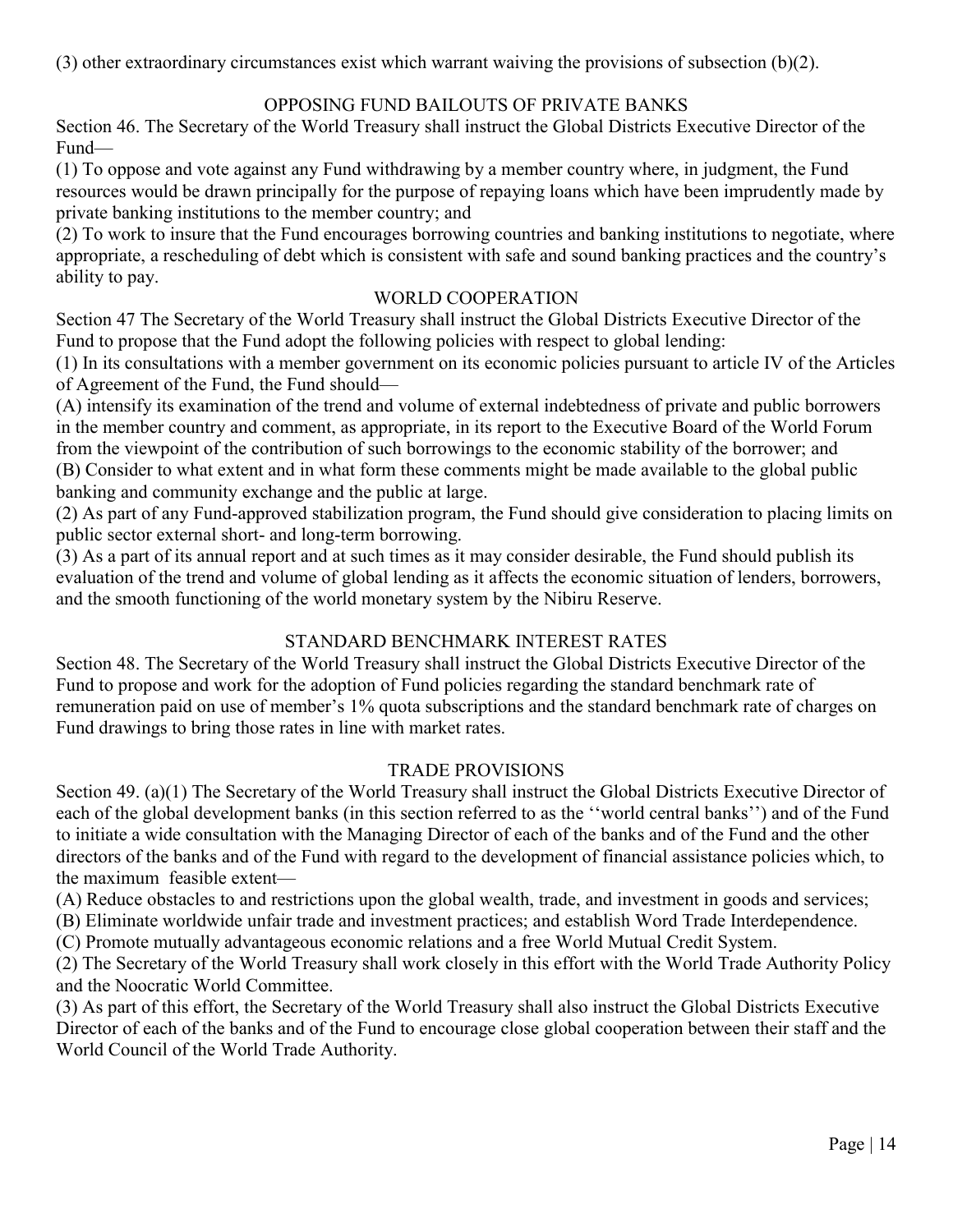(3) other extraordinary circumstances exist which warrant waiving the provisions of subsection (b)(2).

# OPPOSING FUND BAILOUTS OF PRIVATE BANKS

Section 46. The Secretary of the World Treasury shall instruct the Global Districts Executive Director of the Fund—

(1) To oppose and vote against any Fund withdrawing by a member country where, in judgment, the Fund resources would be drawn principally for the purpose of repaying loans which have been imprudently made by private banking institutions to the member country; and

(2) To work to insure that the Fund encourages borrowing countries and banking institutions to negotiate, where appropriate, a rescheduling of debt which is consistent with safe and sound banking practices and the country's ability to pay.

### WORLD COOPERATION

Section 47 The Secretary of the World Treasury shall instruct the Global Districts Executive Director of the Fund to propose that the Fund adopt the following policies with respect to global lending:

(1) In its consultations with a member government on its economic policies pursuant to article IV of the Articles of Agreement of the Fund, the Fund should—

(A) intensify its examination of the trend and volume of external indebtedness of private and public borrowers in the member country and comment, as appropriate, in its report to the Executive Board of the World Forum from the viewpoint of the contribution of such borrowings to the economic stability of the borrower; and (B) Consider to what extent and in what form these comments might be made available to the global public banking and community exchange and the public at large.

(2) As part of any Fund-approved stabilization program, the Fund should give consideration to placing limits on public sector external short- and long-term borrowing.

(3) As a part of its annual report and at such times as it may consider desirable, the Fund should publish its evaluation of the trend and volume of global lending as it affects the economic situation of lenders, borrowers, and the smooth functioning of the world monetary system by the Nibiru Reserve.

# STANDARD BENCHMARK INTEREST RATES

Section 48. The Secretary of the World Treasury shall instruct the Global Districts Executive Director of the Fund to propose and work for the adoption of Fund policies regarding the standard benchmark rate of remuneration paid on use of member's 1% quota subscriptions and the standard benchmark rate of charges on Fund drawings to bring those rates in line with market rates.

# TRADE PROVISIONS

Section 49. (a)(1) The Secretary of the World Treasury shall instruct the Global Districts Executive Director of each of the global development banks (in this section referred to as the "world central banks") and of the Fund to initiate a wide consultation with the Managing Director of each of the banks and of the Fund and the other directors of the banks and of the Fund with regard to the development of financial assistance policies which, to the maximum feasible extent—

(A) Reduce obstacles to and restrictions upon the global wealth, trade, and investment in goods and services;

(B) Eliminate worldwide unfair trade and investment practices; and establish Word Trade Interdependence.

(C) Promote mutually advantageous economic relations and a free World Mutual Credit System.

(2) The Secretary of the World Treasury shall work closely in this effort with the World Trade Authority Policy and the Noocratic World Committee.

(3) As part of this effort, the Secretary of the World Treasury shall also instruct the Global Districts Executive Director of each of the banks and of the Fund to encourage close global cooperation between their staff and the World Council of the World Trade Authority.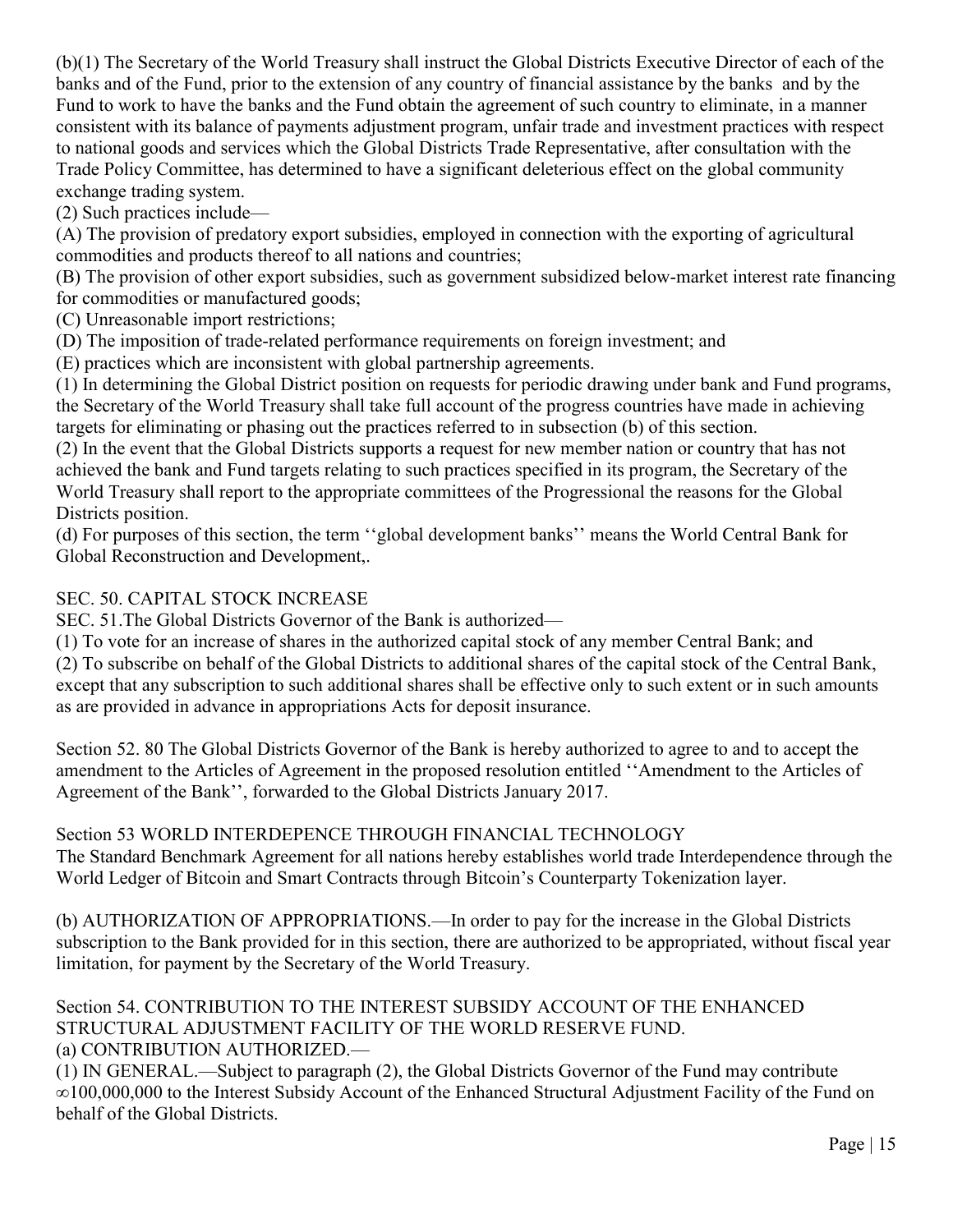(b)(1) The Secretary of the World Treasury shall instruct the Global Districts Executive Director of each of the banks and of the Fund, prior to the extension of any country of financial assistance by the banks and by the Fund to work to have the banks and the Fund obtain the agreement of such country to eliminate, in a manner consistent with its balance of payments adjustment program, unfair trade and investment practices with respect to national goods and services which the Global Districts Trade Representative, after consultation with the Trade Policy Committee, has determined to have a significant deleterious effect on the global community exchange trading system.

(2) Such practices include—

(A) The provision of predatory export subsidies, employed in connection with the exporting of agricultural commodities and products thereof to all nations and countries;

(B) The provision of other export subsidies, such as government subsidized below-market interest rate financing for commodities or manufactured goods;

(C) Unreasonable import restrictions;

(D) The imposition of trade-related performance requirements on foreign investment; and

(E) practices which are inconsistent with global partnership agreements.

(1) In determining the Global District position on requests for periodic drawing under bank and Fund programs, the Secretary of the World Treasury shall take full account of the progress countries have made in achieving targets for eliminating or phasing out the practices referred to in subsection (b) of this section.

(2) In the event that the Global Districts supports a request for new member nation or country that has not achieved the bank and Fund targets relating to such practices specified in its program, the Secretary of the World Treasury shall report to the appropriate committees of the Progressional the reasons for the Global Districts position.

(d) For purposes of this section, the term "global development banks" means the World Central Bank for Global Reconstruction and Development,.

# SEC. 50. CAPITAL STOCK INCREASE

SEC. 51.The Global Districts Governor of the Bank is authorized—

(1) To vote for an increase of shares in the authorized capital stock of any member Central Bank; and (2) To subscribe on behalf of the Global Districts to additional shares of the capital stock of the Central Bank, except that any subscription to such additional shares shall be effective only to such extent or in such amounts as are provided in advance in appropriations Acts for deposit insurance.

Section 52. 80 The Global Districts Governor of the Bank is hereby authorized to agree to and to accept the amendment to the Articles of Agreement in the proposed resolution entitled "Amendment to the Articles of Agreement of the Bank'', forwarded to the Global Districts January 2017.

# Section 53 WORLD INTERDEPENCE THROUGH FINANCIAL TECHNOLOGY

The Standard Benchmark Agreement for all nations hereby establishes world trade Interdependence through the World Ledger of Bitcoin and Smart Contracts through Bitcoin's Counterparty Tokenization layer.

(b) AUTHORIZATION OF APPROPRIATIONS.—In order to pay for the increase in the Global Districts subscription to the Bank provided for in this section, there are authorized to be appropriated, without fiscal year limitation, for payment by the Secretary of the World Treasury.

### Section 54. CONTRIBUTION TO THE INTEREST SUBSIDY ACCOUNT OF THE ENHANCED STRUCTURAL ADJUSTMENT FACILITY OF THE WORLD RESERVE FUND. (a) CONTRIBUTION AUTHORIZED.—

(1) IN GENERAL.—Subject to paragraph (2), the Global Districts Governor of the Fund may contribute ∞100,000,000 to the Interest Subsidy Account of the Enhanced Structural Adjustment Facility of the Fund on behalf of the Global Districts.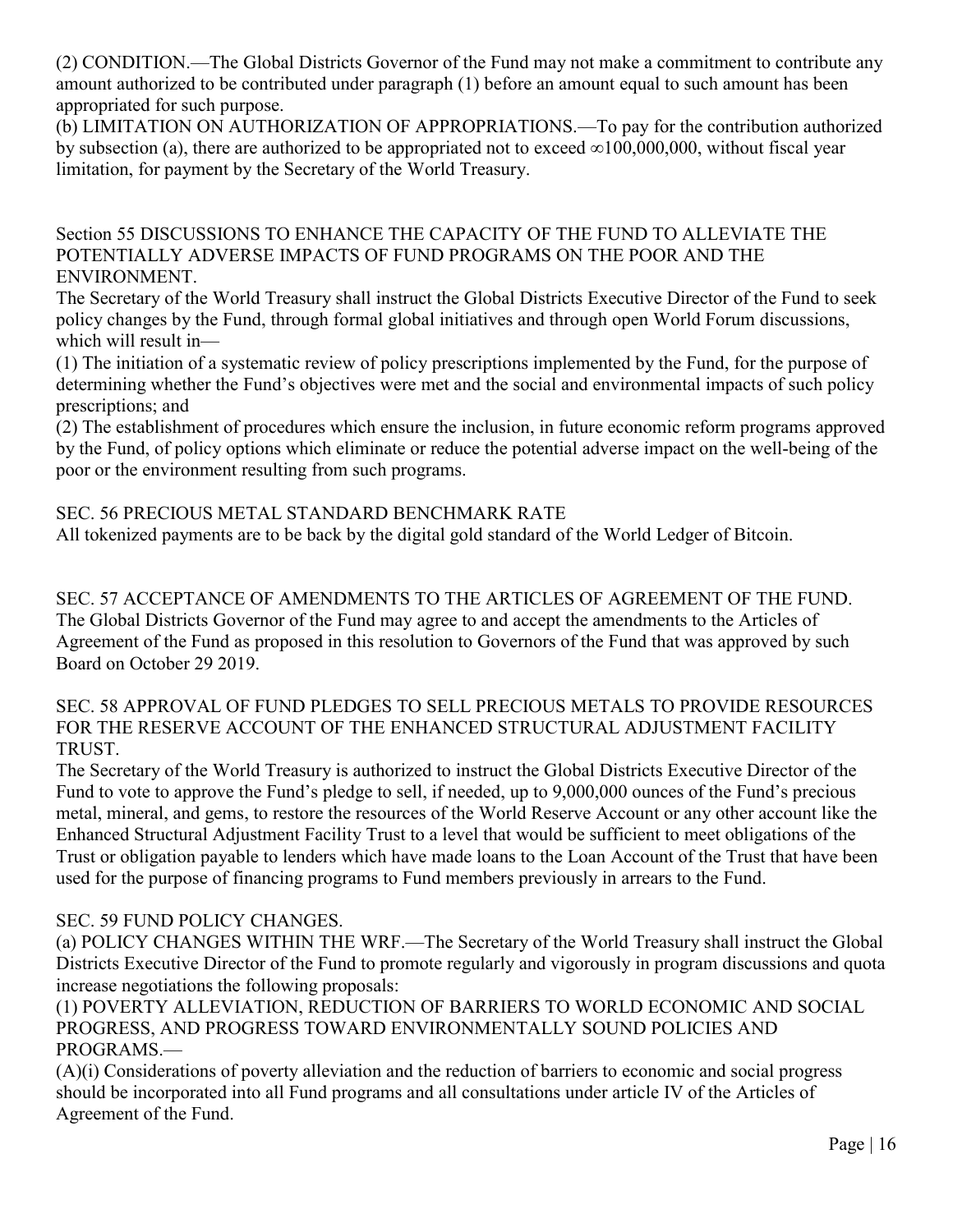(2) CONDITION.—The Global Districts Governor of the Fund may not make a commitment to contribute any amount authorized to be contributed under paragraph (1) before an amount equal to such amount has been appropriated for such purpose.

(b) LIMITATION ON AUTHORIZATION OF APPROPRIATIONS.—To pay for the contribution authorized by subsection (a), there are authorized to be appropriated not to exceed  $\infty100,000,000$ , without fiscal year limitation, for payment by the Secretary of the World Treasury.

Section 55 DISCUSSIONS TO ENHANCE THE CAPACITY OF THE FUND TO ALLEVIATE THE POTENTIALLY ADVERSE IMPACTS OF FUND PROGRAMS ON THE POOR AND THE ENVIRONMENT.

The Secretary of the World Treasury shall instruct the Global Districts Executive Director of the Fund to seek policy changes by the Fund, through formal global initiatives and through open World Forum discussions, which will result in—

(1) The initiation of a systematic review of policy prescriptions implemented by the Fund, for the purpose of determining whether the Fund's objectives were met and the social and environmental impacts of such policy prescriptions; and

(2) The establishment of procedures which ensure the inclusion, in future economic reform programs approved by the Fund, of policy options which eliminate or reduce the potential adverse impact on the well-being of the poor or the environment resulting from such programs.

# SEC. 56 PRECIOUS METAL STANDARD BENCHMARK RATE

All tokenized payments are to be back by the digital gold standard of the World Ledger of Bitcoin.

SEC. 57 ACCEPTANCE OF AMENDMENTS TO THE ARTICLES OF AGREEMENT OF THE FUND. The Global Districts Governor of the Fund may agree to and accept the amendments to the Articles of Agreement of the Fund as proposed in this resolution to Governors of the Fund that was approved by such Board on October 29 2019.

SEC. 58 APPROVAL OF FUND PLEDGES TO SELL PRECIOUS METALS TO PROVIDE RESOURCES FOR THE RESERVE ACCOUNT OF THE ENHANCED STRUCTURAL ADJUSTMENT FACILITY TRUST.

The Secretary of the World Treasury is authorized to instruct the Global Districts Executive Director of the Fund to vote to approve the Fund's pledge to sell, if needed, up to 9,000,000 ounces of the Fund's precious metal, mineral, and gems, to restore the resources of the World Reserve Account or any other account like the Enhanced Structural Adjustment Facility Trust to a level that would be sufficient to meet obligations of the Trust or obligation payable to lenders which have made loans to the Loan Account of the Trust that have been used for the purpose of financing programs to Fund members previously in arrears to the Fund.

### SEC. 59 FUND POLICY CHANGES.

(a) POLICY CHANGES WITHIN THE WRF.—The Secretary of the World Treasury shall instruct the Global Districts Executive Director of the Fund to promote regularly and vigorously in program discussions and quota increase negotiations the following proposals:

(1) POVERTY ALLEVIATION, REDUCTION OF BARRIERS TO WORLD ECONOMIC AND SOCIAL PROGRESS, AND PROGRESS TOWARD ENVIRONMENTALLY SOUND POLICIES AND PROGRAMS.—

(A)(i) Considerations of poverty alleviation and the reduction of barriers to economic and social progress should be incorporated into all Fund programs and all consultations under article IV of the Articles of Agreement of the Fund.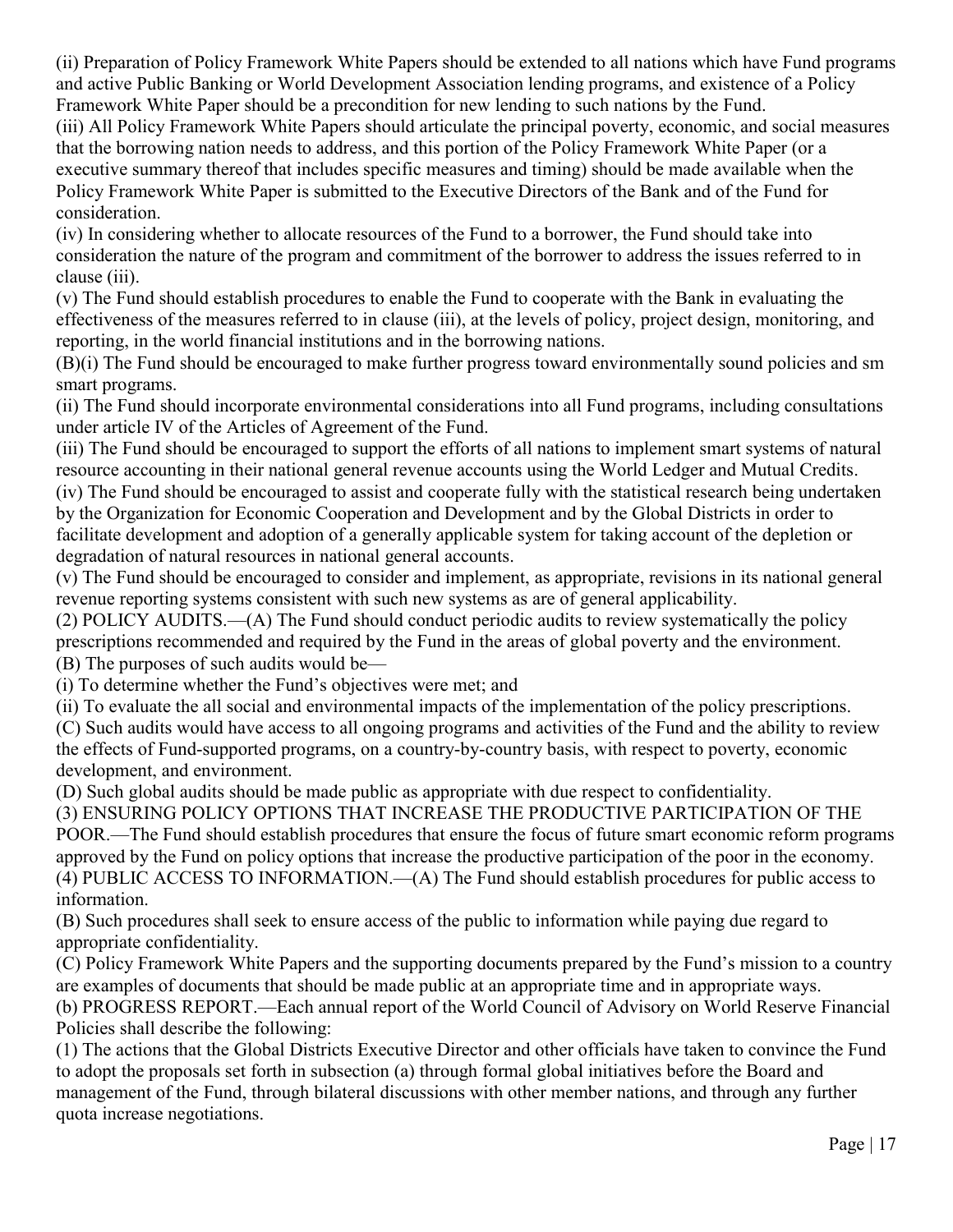(ii) Preparation of Policy Framework White Papers should be extended to all nations which have Fund programs and active Public Banking or World Development Association lending programs, and existence of a Policy Framework White Paper should be a precondition for new lending to such nations by the Fund.

(iii) All Policy Framework White Papers should articulate the principal poverty, economic, and social measures that the borrowing nation needs to address, and this portion of the Policy Framework White Paper (or a executive summary thereof that includes specific measures and timing) should be made available when the Policy Framework White Paper is submitted to the Executive Directors of the Bank and of the Fund for consideration.

(iv) In considering whether to allocate resources of the Fund to a borrower, the Fund should take into consideration the nature of the program and commitment of the borrower to address the issues referred to in clause (iii).

(v) The Fund should establish procedures to enable the Fund to cooperate with the Bank in evaluating the effectiveness of the measures referred to in clause (iii), at the levels of policy, project design, monitoring, and reporting, in the world financial institutions and in the borrowing nations.

(B)(i) The Fund should be encouraged to make further progress toward environmentally sound policies and sm smart programs.

(ii) The Fund should incorporate environmental considerations into all Fund programs, including consultations under article IV of the Articles of Agreement of the Fund.

(iii) The Fund should be encouraged to support the efforts of all nations to implement smart systems of natural resource accounting in their national general revenue accounts using the World Ledger and Mutual Credits. (iv) The Fund should be encouraged to assist and cooperate fully with the statistical research being undertaken by the Organization for Economic Cooperation and Development and by the Global Districts in order to facilitate development and adoption of a generally applicable system for taking account of the depletion or

degradation of natural resources in national general accounts.

(v) The Fund should be encouraged to consider and implement, as appropriate, revisions in its national general revenue reporting systems consistent with such new systems as are of general applicability.

(2) POLICY AUDITS.—(A) The Fund should conduct periodic audits to review systematically the policy prescriptions recommended and required by the Fund in the areas of global poverty and the environment. (B) The purposes of such audits would be—

(i) To determine whether the Fund's objectives were met; and

(ii) To evaluate the all social and environmental impacts of the implementation of the policy prescriptions.

(C) Such audits would have access to all ongoing programs and activities of the Fund and the ability to review the effects of Fund-supported programs, on a country-by-country basis, with respect to poverty, economic development, and environment.

(D) Such global audits should be made public as appropriate with due respect to confidentiality.

(3) ENSURING POLICY OPTIONS THAT INCREASE THE PRODUCTIVE PARTICIPATION OF THE POOR.—The Fund should establish procedures that ensure the focus of future smart economic reform programs approved by the Fund on policy options that increase the productive participation of the poor in the economy. (4) PUBLIC ACCESS TO INFORMATION.—(A) The Fund should establish procedures for public access to information.

(B) Such procedures shall seek to ensure access of the public to information while paying due regard to appropriate confidentiality.

(C) Policy Framework White Papers and the supporting documents prepared by the Fund's mission to a country are examples of documents that should be made public at an appropriate time and in appropriate ways.

(b) PROGRESS REPORT.—Each annual report of the World Council of Advisory on World Reserve Financial Policies shall describe the following:

(1) The actions that the Global Districts Executive Director and other officials have taken to convince the Fund to adopt the proposals set forth in subsection (a) through formal global initiatives before the Board and management of the Fund, through bilateral discussions with other member nations, and through any further quota increase negotiations.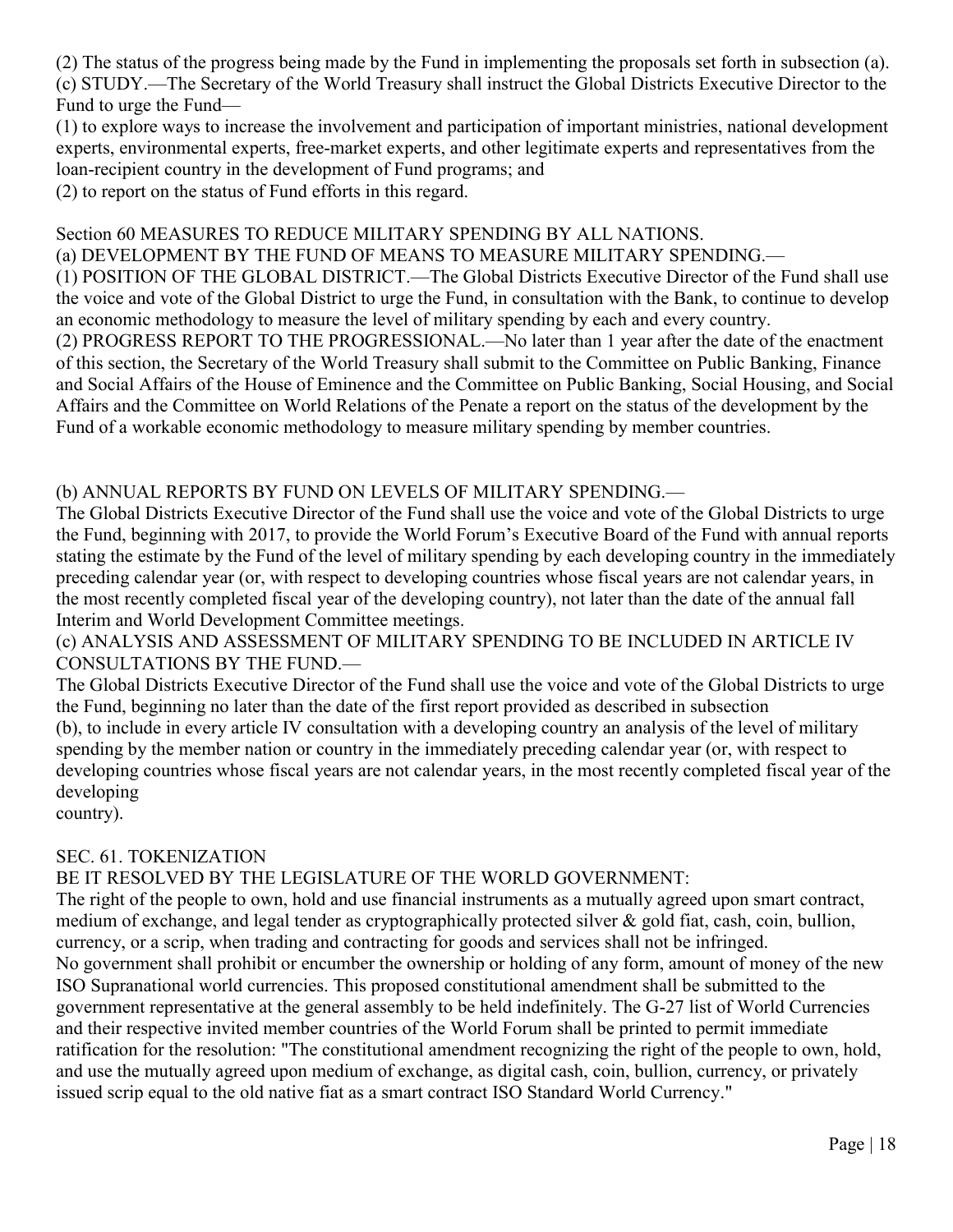(2) The status of the progress being made by the Fund in implementing the proposals set forth in subsection (a). (c) STUDY.—The Secretary of the World Treasury shall instruct the Global Districts Executive Director to the Fund to urge the Fund—

(1) to explore ways to increase the involvement and participation of important ministries, national development experts, environmental experts, free-market experts, and other legitimate experts and representatives from the loan-recipient country in the development of Fund programs; and

(2) to report on the status of Fund efforts in this regard.

### Section 60 MEASURES TO REDUCE MILITARY SPENDING BY ALL NATIONS.

(a) DEVELOPMENT BY THE FUND OF MEANS TO MEASURE MILITARY SPENDING.—

(1) POSITION OF THE GLOBAL DISTRICT.—The Global Districts Executive Director of the Fund shall use the voice and vote of the Global District to urge the Fund, in consultation with the Bank, to continue to develop an economic methodology to measure the level of military spending by each and every country.

(2) PROGRESS REPORT TO THE PROGRESSIONAL.—No later than 1 year after the date of the enactment of this section, the Secretary of the World Treasury shall submit to the Committee on Public Banking, Finance and Social Affairs of the House of Eminence and the Committee on Public Banking, Social Housing, and Social Affairs and the Committee on World Relations of the Penate a report on the status of the development by the Fund of a workable economic methodology to measure military spending by member countries.

### (b) ANNUAL REPORTS BY FUND ON LEVELS OF MILITARY SPENDING.—

The Global Districts Executive Director of the Fund shall use the voice and vote of the Global Districts to urge the Fund, beginning with 2017, to provide the World Forum's Executive Board of the Fund with annual reports stating the estimate by the Fund of the level of military spending by each developing country in the immediately preceding calendar year (or, with respect to developing countries whose fiscal years are not calendar years, in the most recently completed fiscal year of the developing country), not later than the date of the annual fall Interim and World Development Committee meetings.

(c) ANALYSIS AND ASSESSMENT OF MILITARY SPENDING TO BE INCLUDED IN ARTICLE IV CONSULTATIONS BY THE FUND.—

The Global Districts Executive Director of the Fund shall use the voice and vote of the Global Districts to urge the Fund, beginning no later than the date of the first report provided as described in subsection (b), to include in every article IV consultation with a developing country an analysis of the level of military spending by the member nation or country in the immediately preceding calendar year (or, with respect to developing countries whose fiscal years are not calendar years, in the most recently completed fiscal year of the developing

country).

### SEC. 61. TOKENIZATION

BE IT RESOLVED BY THE LEGISLATURE OF THE WORLD GOVERNMENT:

The right of the people to own, hold and use financial instruments as a mutually agreed upon smart contract, medium of exchange, and legal tender as cryptographically protected silver & gold fiat, cash, coin, bullion, currency, or a scrip, when trading and contracting for goods and services shall not be infringed. No government shall prohibit or encumber the ownership or holding of any form, amount of money of the new ISO Supranational world currencies. This proposed constitutional amendment shall be submitted to the government representative at the general assembly to be held indefinitely. The G-27 list of World Currencies and their respective invited member countries of the World Forum shall be printed to permit immediate ratification for the resolution: "The constitutional amendment recognizing the right of the people to own, hold, and use the mutually agreed upon medium of exchange, as digital cash, coin, bullion, currency, or privately issued scrip equal to the old native fiat as a smart contract ISO Standard World Currency."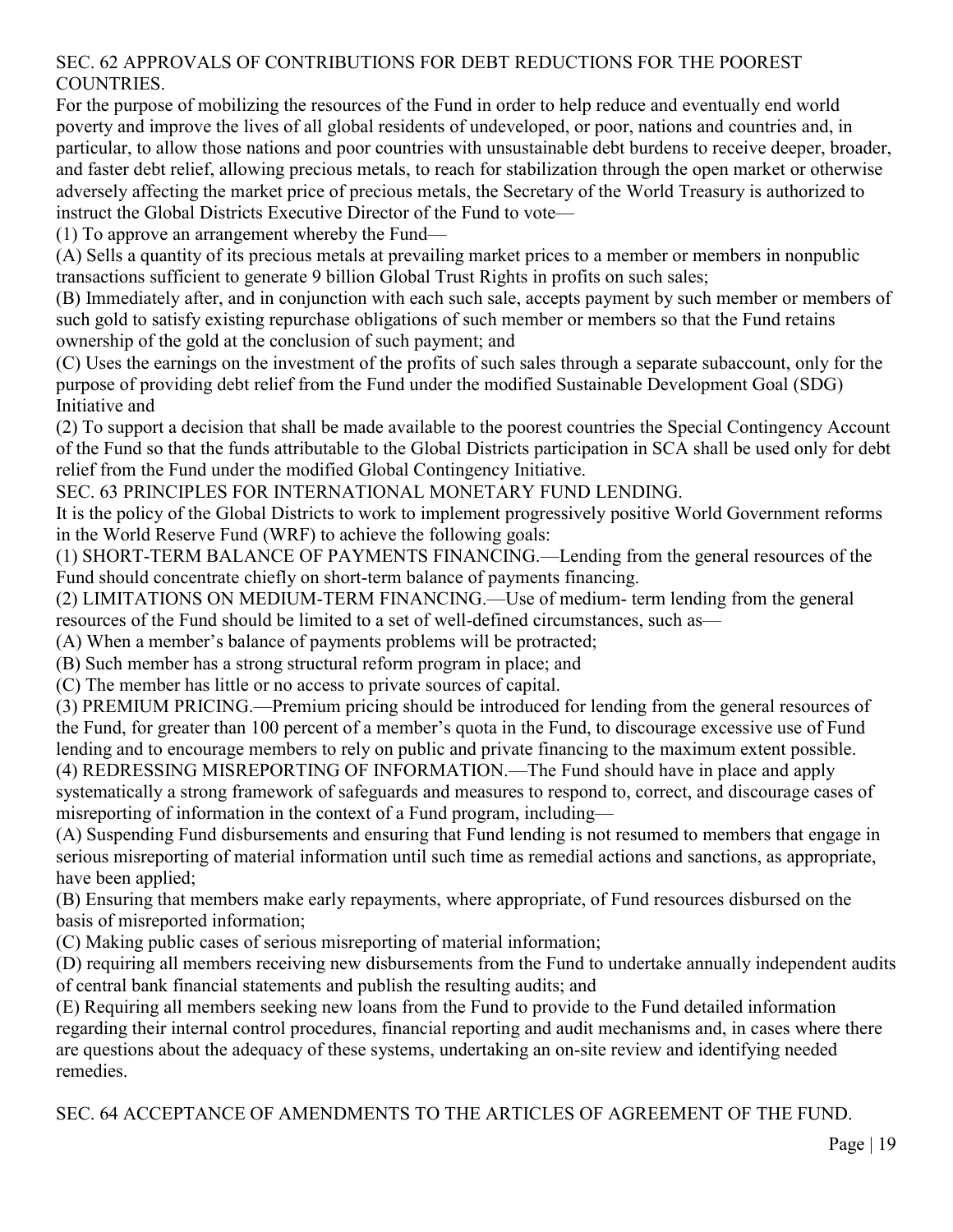### SEC. 62 APPROVALS OF CONTRIBUTIONS FOR DEBT REDUCTIONS FOR THE POOREST COUNTRIES.

For the purpose of mobilizing the resources of the Fund in order to help reduce and eventually end world poverty and improve the lives of all global residents of undeveloped, or poor, nations and countries and, in particular, to allow those nations and poor countries with unsustainable debt burdens to receive deeper, broader, and faster debt relief, allowing precious metals, to reach for stabilization through the open market or otherwise adversely affecting the market price of precious metals, the Secretary of the World Treasury is authorized to instruct the Global Districts Executive Director of the Fund to vote—

(1) To approve an arrangement whereby the Fund—

(A) Sells a quantity of its precious metals at prevailing market prices to a member or members in nonpublic transactions sufficient to generate 9 billion Global Trust Rights in profits on such sales;

(B) Immediately after, and in conjunction with each such sale, accepts payment by such member or members of such gold to satisfy existing repurchase obligations of such member or members so that the Fund retains ownership of the gold at the conclusion of such payment; and

(C) Uses the earnings on the investment of the profits of such sales through a separate subaccount, only for the purpose of providing debt relief from the Fund under the modified Sustainable Development Goal (SDG) Initiative and

(2) To support a decision that shall be made available to the poorest countries the Special Contingency Account of the Fund so that the funds attributable to the Global Districts participation in SCA shall be used only for debt relief from the Fund under the modified Global Contingency Initiative.

SEC. 63 PRINCIPLES FOR INTERNATIONAL MONETARY FUND LENDING.

It is the policy of the Global Districts to work to implement progressively positive World Government reforms in the World Reserve Fund (WRF) to achieve the following goals:

(1) SHORT-TERM BALANCE OF PAYMENTS FINANCING.—Lending from the general resources of the Fund should concentrate chiefly on short-term balance of payments financing.

(2) LIMITATIONS ON MEDIUM-TERM FINANCING.—Use of medium- term lending from the general resources of the Fund should be limited to a set of well-defined circumstances, such as—

(A) When a member's balance of payments problems will be protracted;

(B) Such member has a strong structural reform program in place; and

(C) The member has little or no access to private sources of capital.

(3) PREMIUM PRICING.—Premium pricing should be introduced for lending from the general resources of the Fund, for greater than 100 percent of a member's quota in the Fund, to discourage excessive use of Fund lending and to encourage members to rely on public and private financing to the maximum extent possible.

(4) REDRESSING MISREPORTING OF INFORMATION.—The Fund should have in place and apply systematically a strong framework of safeguards and measures to respond to, correct, and discourage cases of misreporting of information in the context of a Fund program, including—

(A) Suspending Fund disbursements and ensuring that Fund lending is not resumed to members that engage in serious misreporting of material information until such time as remedial actions and sanctions, as appropriate, have been applied;

(B) Ensuring that members make early repayments, where appropriate, of Fund resources disbursed on the basis of misreported information;

(C) Making public cases of serious misreporting of material information;

(D) requiring all members receiving new disbursements from the Fund to undertake annually independent audits of central bank financial statements and publish the resulting audits; and

(E) Requiring all members seeking new loans from the Fund to provide to the Fund detailed information regarding their internal control procedures, financial reporting and audit mechanisms and, in cases where there are questions about the adequacy of these systems, undertaking an on-site review and identifying needed remedies.

SEC. 64 ACCEPTANCE OF AMENDMENTS TO THE ARTICLES OF AGREEMENT OF THE FUND.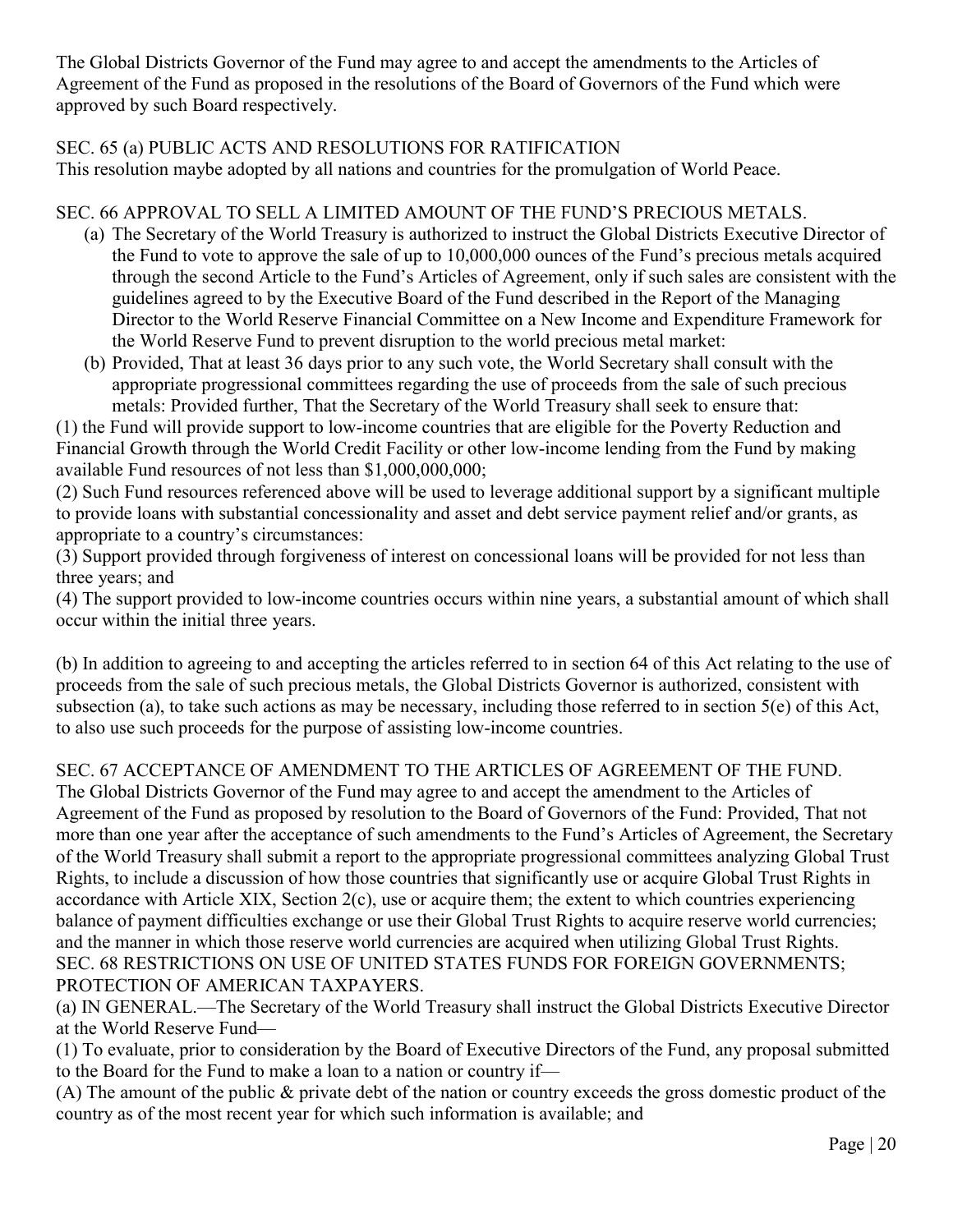The Global Districts Governor of the Fund may agree to and accept the amendments to the Articles of Agreement of the Fund as proposed in the resolutions of the Board of Governors of the Fund which were approved by such Board respectively.

### SEC. 65 (a) PUBLIC ACTS AND RESOLUTIONS FOR RATIFICATION

This resolution maybe adopted by all nations and countries for the promulgation of World Peace.

### SEC. 66 APPROVAL TO SELL A LIMITED AMOUNT OF THE FUND'S PRECIOUS METALS.

- (a) The Secretary of the World Treasury is authorized to instruct the Global Districts Executive Director of the Fund to vote to approve the sale of up to 10,000,000 ounces of the Fund's precious metals acquired through the second Article to the Fund's Articles of Agreement, only if such sales are consistent with the guidelines agreed to by the Executive Board of the Fund described in the Report of the Managing Director to the World Reserve Financial Committee on a New Income and Expenditure Framework for the World Reserve Fund to prevent disruption to the world precious metal market:
- (b) Provided, That at least 36 days prior to any such vote, the World Secretary shall consult with the appropriate progressional committees regarding the use of proceeds from the sale of such precious metals: Provided further, That the Secretary of the World Treasury shall seek to ensure that:

(1) the Fund will provide support to low-income countries that are eligible for the Poverty Reduction and Financial Growth through the World Credit Facility or other low-income lending from the Fund by making available Fund resources of not less than \$1,000,000,000;

(2) Such Fund resources referenced above will be used to leverage additional support by a significant multiple to provide loans with substantial concessionality and asset and debt service payment relief and/or grants, as appropriate to a country's circumstances:

(3) Support provided through forgiveness of interest on concessional loans will be provided for not less than three years; and

(4) The support provided to low-income countries occurs within nine years, a substantial amount of which shall occur within the initial three years.

(b) In addition to agreeing to and accepting the articles referred to in section 64 of this Act relating to the use of proceeds from the sale of such precious metals, the Global Districts Governor is authorized, consistent with subsection (a), to take such actions as may be necessary, including those referred to in section 5(e) of this Act, to also use such proceeds for the purpose of assisting low-income countries.

# SEC. 67 ACCEPTANCE OF AMENDMENT TO THE ARTICLES OF AGREEMENT OF THE FUND.

The Global Districts Governor of the Fund may agree to and accept the amendment to the Articles of Agreement of the Fund as proposed by resolution to the Board of Governors of the Fund: Provided, That not more than one year after the acceptance of such amendments to the Fund's Articles of Agreement, the Secretary of the World Treasury shall submit a report to the appropriate progressional committees analyzing Global Trust Rights, to include a discussion of how those countries that significantly use or acquire Global Trust Rights in accordance with Article XIX, Section 2(c), use or acquire them; the extent to which countries experiencing balance of payment difficulties exchange or use their Global Trust Rights to acquire reserve world currencies; and the manner in which those reserve world currencies are acquired when utilizing Global Trust Rights. SEC. 68 RESTRICTIONS ON USE OF UNITED STATES FUNDS FOR FOREIGN GOVERNMENTS; PROTECTION OF AMERICAN TAXPAYERS.

(a) IN GENERAL.—The Secretary of the World Treasury shall instruct the Global Districts Executive Director at the World Reserve Fund—

(1) To evaluate, prior to consideration by the Board of Executive Directors of the Fund, any proposal submitted to the Board for the Fund to make a loan to a nation or country if—

(A) The amount of the public & private debt of the nation or country exceeds the gross domestic product of the country as of the most recent year for which such information is available; and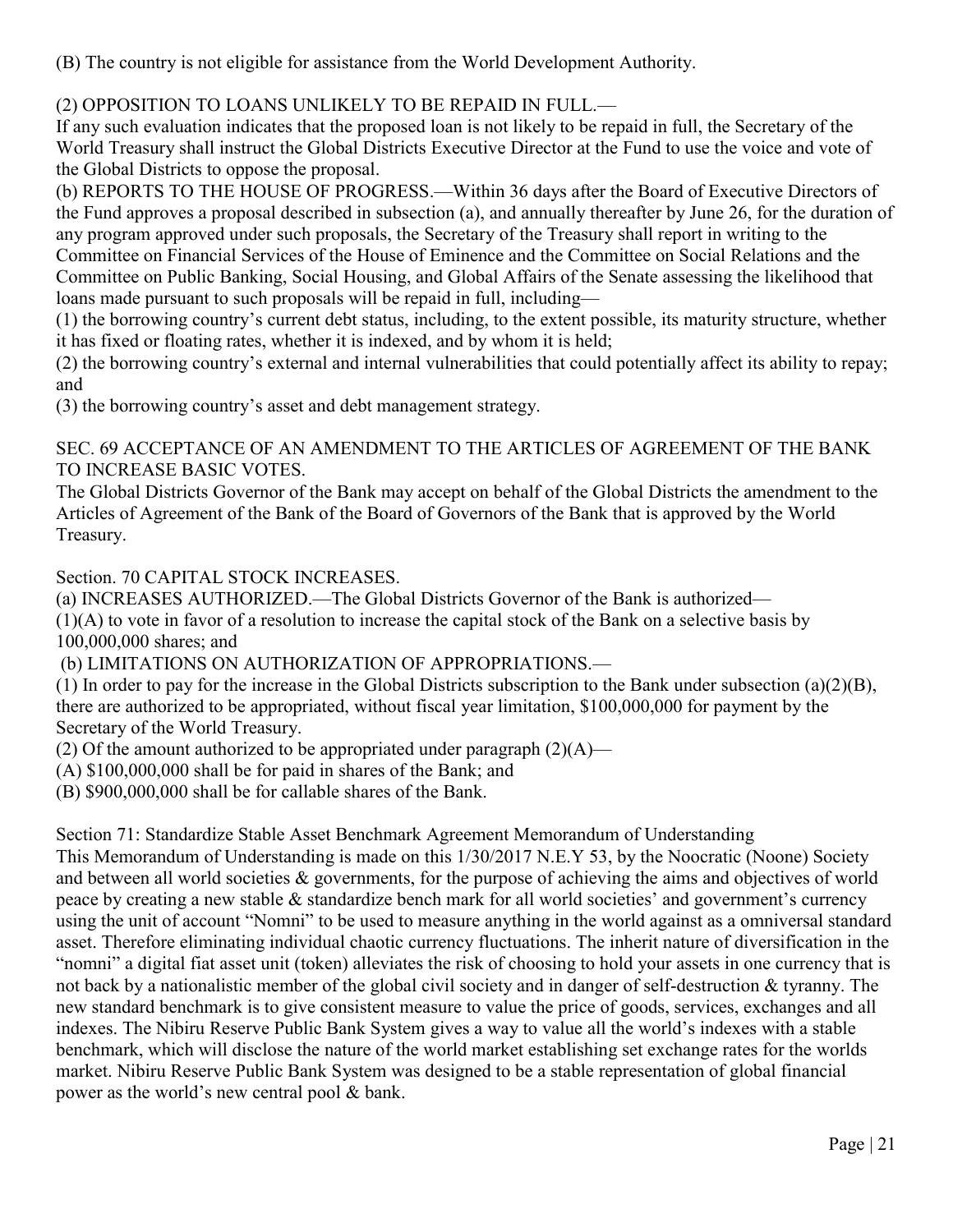(B) The country is not eligible for assistance from the World Development Authority.

# (2) OPPOSITION TO LOANS UNLIKELY TO BE REPAID IN FULL.—

If any such evaluation indicates that the proposed loan is not likely to be repaid in full, the Secretary of the World Treasury shall instruct the Global Districts Executive Director at the Fund to use the voice and vote of the Global Districts to oppose the proposal.

(b) REPORTS TO THE HOUSE OF PROGRESS.—Within 36 days after the Board of Executive Directors of the Fund approves a proposal described in subsection (a), and annually thereafter by June 26, for the duration of any program approved under such proposals, the Secretary of the Treasury shall report in writing to the Committee on Financial Services of the House of Eminence and the Committee on Social Relations and the Committee on Public Banking, Social Housing, and Global Affairs of the Senate assessing the likelihood that loans made pursuant to such proposals will be repaid in full, including—

(1) the borrowing country's current debt status, including, to the extent possible, its maturity structure, whether it has fixed or floating rates, whether it is indexed, and by whom it is held;

(2) the borrowing country's external and internal vulnerabilities that could potentially affect its ability to repay; and

(3) the borrowing country's asset and debt management strategy.

# SEC. 69 ACCEPTANCE OF AN AMENDMENT TO THE ARTICLES OF AGREEMENT OF THE BANK TO INCREASE BASIC VOTES.

The Global Districts Governor of the Bank may accept on behalf of the Global Districts the amendment to the Articles of Agreement of the Bank of the Board of Governors of the Bank that is approved by the World Treasury.

Section. 70 CAPITAL STOCK INCREASES.

(a) INCREASES AUTHORIZED.—The Global Districts Governor of the Bank is authorized— (1)(A) to vote in favor of a resolution to increase the capital stock of the Bank on a selective basis by 100,000,000 shares; and

(b) LIMITATIONS ON AUTHORIZATION OF APPROPRIATIONS.—

(1) In order to pay for the increase in the Global Districts subscription to the Bank under subsection (a)(2)(B), there are authorized to be appropriated, without fiscal year limitation, \$100,000,000 for payment by the Secretary of the World Treasury.

(2) Of the amount authorized to be appropriated under paragraph  $(2)(A)$ —

(A) \$100,000,000 shall be for paid in shares of the Bank; and

(B) \$900,000,000 shall be for callable shares of the Bank.

Section 71: Standardize Stable Asset Benchmark Agreement Memorandum of Understanding

This Memorandum of Understanding is made on this 1/30/2017 N.E.Y 53, by the Noocratic (Noone) Society and between all world societies & governments, for the purpose of achieving the aims and objectives of world peace by creating a new stable & standardize bench mark for all world societies' and government's currency using the unit of account "Nomni" to be used to measure anything in the world against as a omniversal standard asset. Therefore eliminating individual chaotic currency fluctuations. The inherit nature of diversification in the "nomni" a digital fiat asset unit (token) alleviates the risk of choosing to hold your assets in one currency that is not back by a nationalistic member of the global civil society and in danger of self-destruction & tyranny. The new standard benchmark is to give consistent measure to value the price of goods, services, exchanges and all indexes. The Nibiru Reserve Public Bank System gives a way to value all the world's indexes with a stable benchmark, which will disclose the nature of the world market establishing set exchange rates for the worlds market. Nibiru Reserve Public Bank System was designed to be a stable representation of global financial power as the world's new central pool & bank.